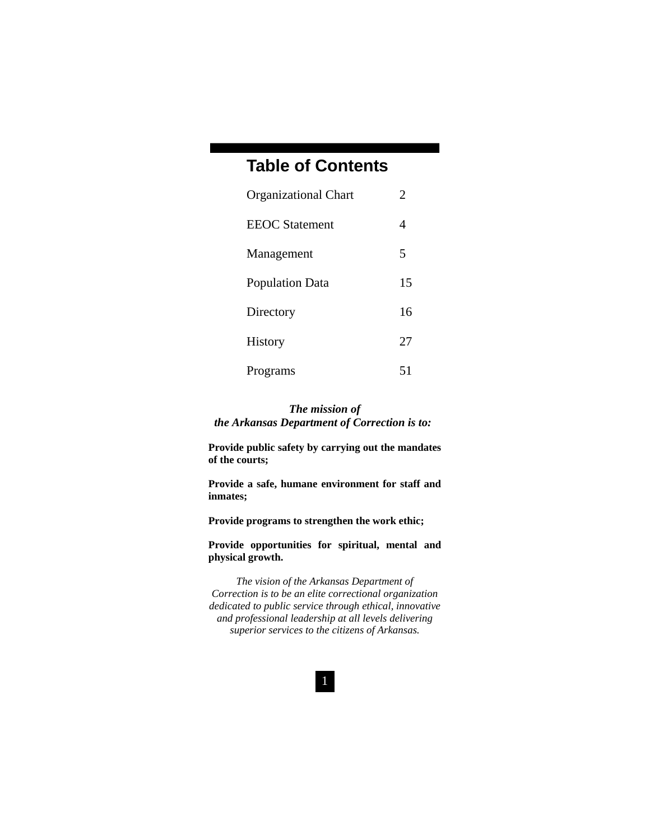# **Table of Contents**

| <b>Organizational Chart</b> | 2  |
|-----------------------------|----|
| <b>EEOC</b> Statement       | 4  |
| Management                  | 5  |
| <b>Population Data</b>      | 15 |
| Directory                   | 16 |
| <b>History</b>              | 27 |
| Programs                    | 51 |

### *The mission of the Arkansas Department of Correction is to:*

**Provide public safety by carrying out the mandates of the courts;** 

**Provide a safe, humane environment for staff and inmates;** 

**Provide programs to strengthen the work ethic;** 

**Provide opportunities for spiritual, mental and physical growth.** 

*The vision of the Arkansas Department of Correction is to be an elite correctional organization dedicated to public service through ethical, innovative and professional leadership at all levels delivering superior services to the citizens of Arkansas.*

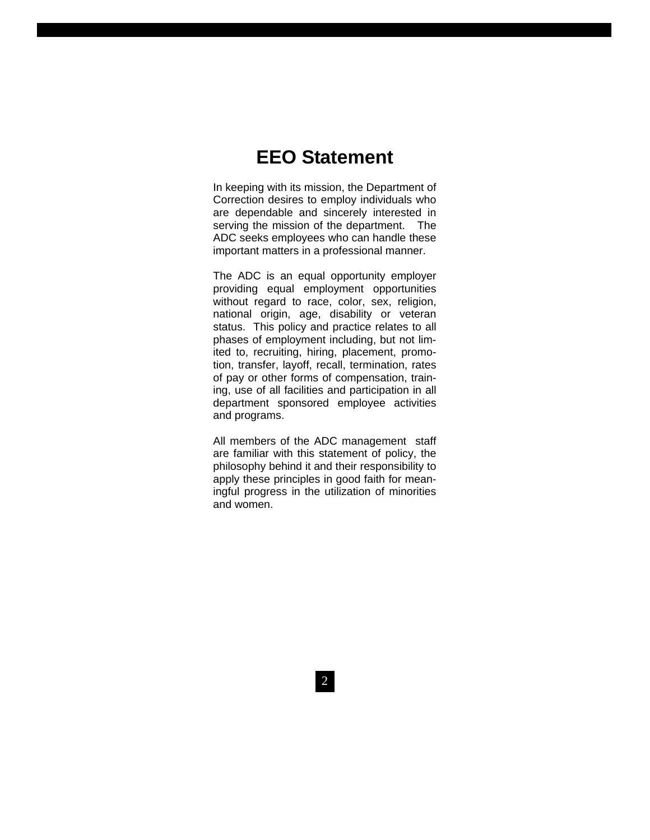# **EEO Statement**

In keeping with its mission, the Department of Correction desires to employ individuals who are dependable and sincerely interested in serving the mission of the department. The ADC seeks employees who can handle these important matters in a professional manner.

The ADC is an equal opportunity employer providing equal employment opportunities without regard to race, color, sex, religion, national origin, age, disability or veteran status. This policy and practice relates to all phases of employment including, but not limited to, recruiting, hiring, placement, promotion, transfer, layoff, recall, termination, rates of pay or other forms of compensation, training, use of all facilities and participation in all department sponsored employee activities and programs.

All members of the ADC management staff are familiar with this statement of policy, the philosophy behind it and their responsibility to apply these principles in good faith for meaningful progress in the utilization of minorities and women.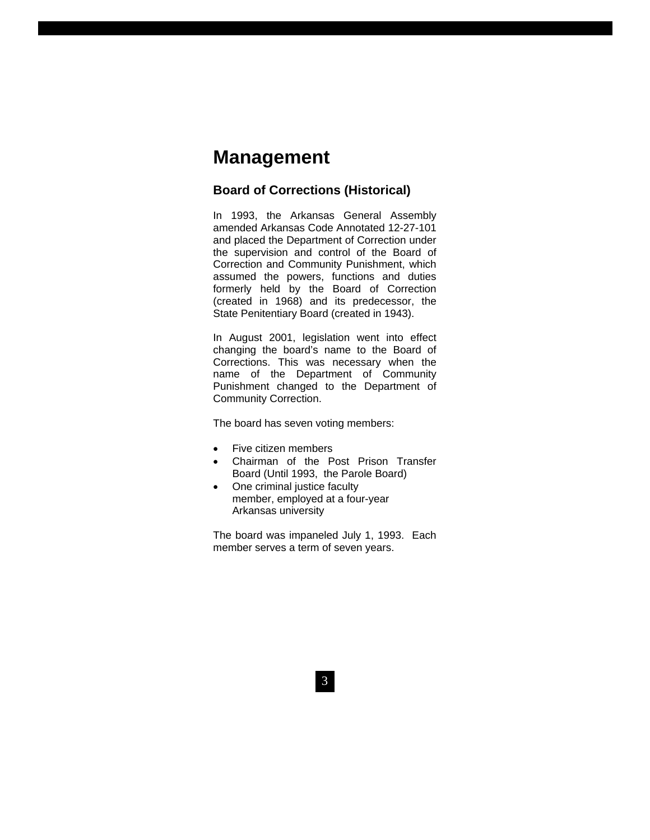# **Management**

### **Board of Corrections (Historical)**

In 1993, the Arkansas General Assembly amended Arkansas Code Annotated 12-27-101 and placed the Department of Correction under the supervision and control of the Board of Correction and Community Punishment, which assumed the powers, functions and duties formerly held by the Board of Correction (created in 1968) and its predecessor, the State Penitentiary Board (created in 1943).

In August 2001, legislation went into effect changing the board's name to the Board of Corrections. This was necessary when the name of the Department of Community Punishment changed to the Department of Community Correction.

The board has seven voting members:

- Five citizen members
- Chairman of the Post Prison Transfer Board (Until 1993, the Parole Board)
- One criminal justice faculty member, employed at a four-year Arkansas university

The board was impaneled July 1, 1993. Each member serves a term of seven years.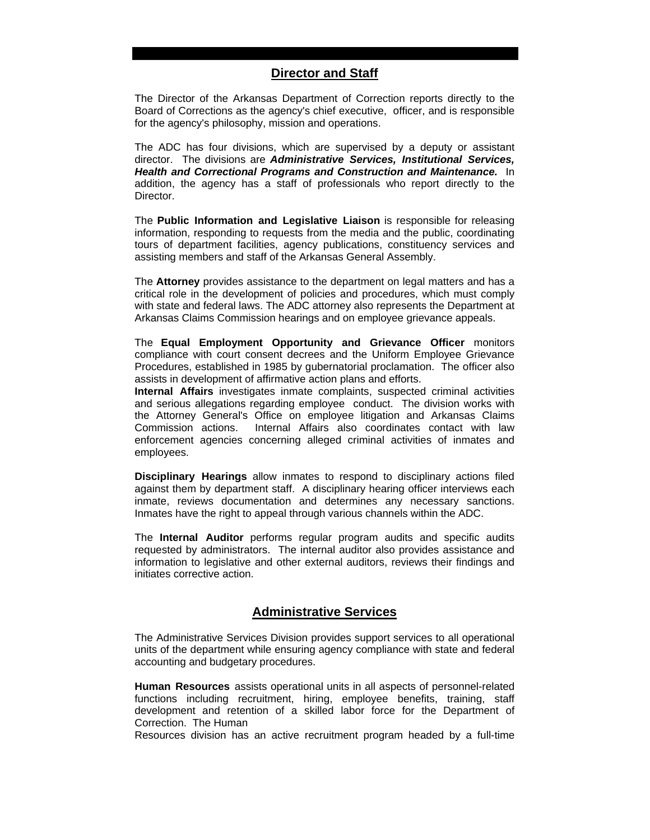### **Director and Staff**

The Director of the Arkansas Department of Correction reports directly to the Board of Corrections as the agency's chief executive, officer, and is responsible for the agency's philosophy, mission and operations.

The ADC has four divisions, which are supervised by a deputy or assistant director. The divisions are *Administrative Services, Institutional Services, Health and Correctional Programs and Construction and Maintenance.* In addition, the agency has a staff of professionals who report directly to the Director.

The **Public Information and Legislative Liaison** is responsible for releasing information, responding to requests from the media and the public, coordinating tours of department facilities, agency publications, constituency services and assisting members and staff of the Arkansas General Assembly.

The **Attorney** provides assistance to the department on legal matters and has a critical role in the development of policies and procedures, which must comply with state and federal laws. The ADC attorney also represents the Department at Arkansas Claims Commission hearings and on employee grievance appeals.

The **Equal Employment Opportunity and Grievance Officer** monitors compliance with court consent decrees and the Uniform Employee Grievance Procedures, established in 1985 by gubernatorial proclamation. The officer also assists in development of affirmative action plans and efforts.

**Internal Affairs** investigates inmate complaints, suspected criminal activities and serious allegations regarding employee conduct. The division works with the Attorney General's Office on employee litigation and Arkansas Claims Commission actions. Internal Affairs also coordinates contact with law enforcement agencies concerning alleged criminal activities of inmates and employees.

**Disciplinary Hearings** allow inmates to respond to disciplinary actions filed against them by department staff. A disciplinary hearing officer interviews each inmate, reviews documentation and determines any necessary sanctions. Inmates have the right to appeal through various channels within the ADC.

The **Internal Auditor** performs regular program audits and specific audits requested by administrators. The internal auditor also provides assistance and information to legislative and other external auditors, reviews their findings and initiates corrective action.

### **Administrative Services**

The Administrative Services Division provides support services to all operational units of the department while ensuring agency compliance with state and federal accounting and budgetary procedures.

4 **Human Resources** assists operational units in all aspects of personnel-related functions including recruitment, hiring, employee benefits, training, staff development and retention of a skilled labor force for the Department of Correction. The Human

Resources division has an active recruitment program headed by a full-time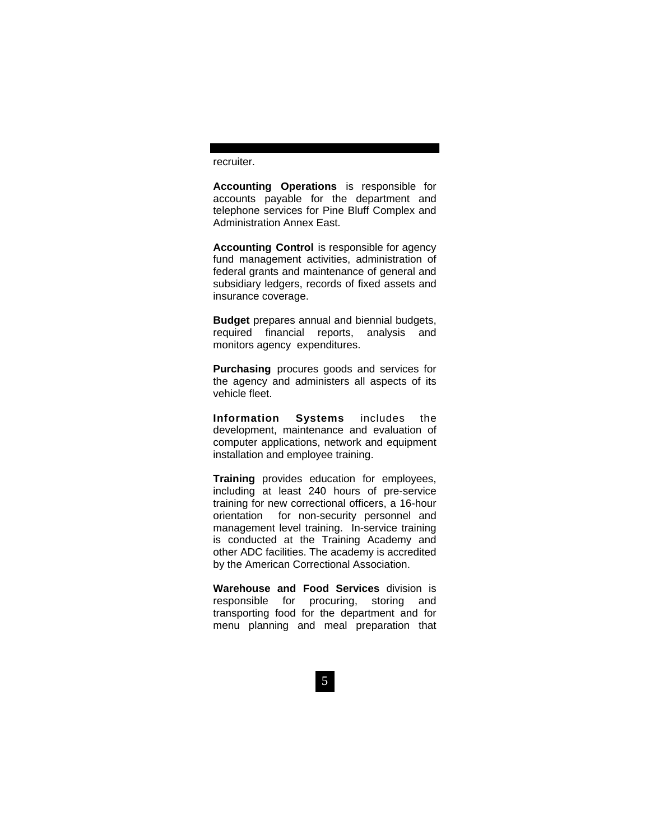recruiter.

**Accounting Operations** is responsible for accounts payable for the department and telephone services for Pine Bluff Complex and Administration Annex East.

**Accounting Control** is responsible for agency fund management activities, administration of federal grants and maintenance of general and subsidiary ledgers, records of fixed assets and insurance coverage.

**Budget** prepares annual and biennial budgets, required financial reports, analysis and monitors agency expenditures.

**Purchasing** procures goods and services for the agency and administers all aspects of its vehicle fleet.

**Information Systems** includes the development, maintenance and evaluation of computer applications, network and equipment installation and employee training.

**Training** provides education for employees, including at least 240 hours of pre-service training for new correctional officers, a 16-hour orientation for non-security personnel and management level training. In-service training is conducted at the Training Academy and other ADC facilities. The academy is accredited by the American Correctional Association.

**Warehouse and Food Services** division is responsible for procuring, storing and transporting food for the department and for menu planning and meal preparation that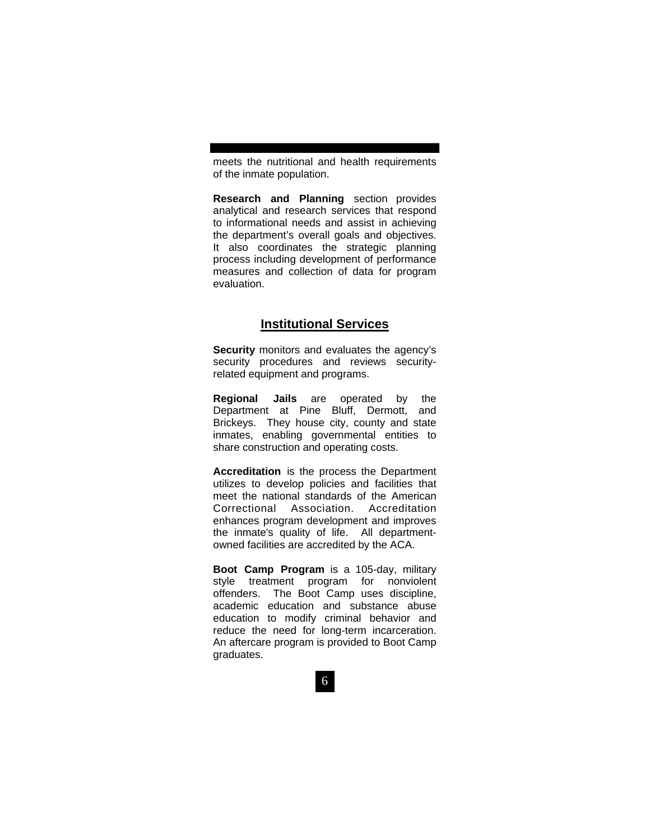meets the nutritional and health requirements of the inmate population.

**Research and Planning** section provides analytical and research services that respond to informational needs and assist in achieving the department's overall goals and objectives. It also coordinates the strategic planning process including development of performance measures and collection of data for program evaluation.

### **Institutional Services**

**Security** monitors and evaluates the agency's security procedures and reviews securityrelated equipment and programs.

**Regional Jails** are operated by the Department at Pine Bluff, Dermott, and Brickeys. They house city, county and state inmates, enabling governmental entities to share construction and operating costs.

**Accreditation** is the process the Department utilizes to develop policies and facilities that meet the national standards of the American Correctional Association. Accreditation enhances program development and improves the inmate's quality of life. All departmentowned facilities are accredited by the ACA.

**Boot Camp Program** is a 105-day, military style treatment program for nonviolent offenders. The Boot Camp uses discipline, academic education and substance abuse education to modify criminal behavior and reduce the need for long-term incarceration. An aftercare program is provided to Boot Camp graduates.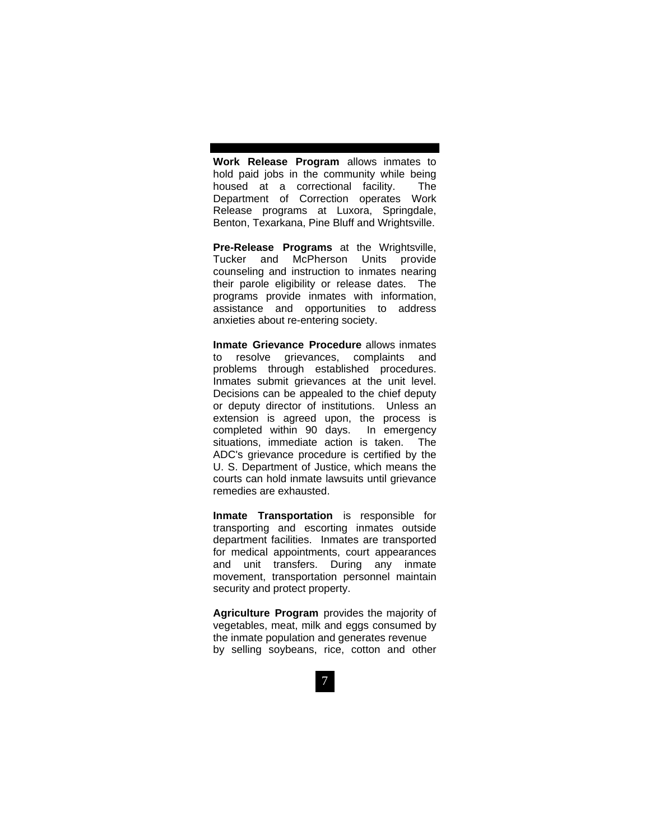**Work Release Program** allows inmates to hold paid jobs in the community while being housed at a correctional facility. The Department of Correction operates Work Release programs at Luxora, Springdale, Benton, Texarkana, Pine Bluff and Wrightsville.

**Pre-Release Programs** at the Wrightsville, Tucker and McPherson Units provide counseling and instruction to inmates nearing their parole eligibility or release dates. The programs provide inmates with information, assistance and opportunities to address anxieties about re-entering society.

**Inmate Grievance Procedure** allows inmates to resolve grievances, complaints and problems through established procedures. Inmates submit grievances at the unit level. Decisions can be appealed to the chief deputy or deputy director of institutions. Unless an extension is agreed upon, the process is completed within 90 days. In emergency situations, immediate action is taken. The ADC's grievance procedure is certified by the U. S. Department of Justice, which means the courts can hold inmate lawsuits until grievance remedies are exhausted.

**Inmate Transportation** is responsible for transporting and escorting inmates outside department facilities. Inmates are transported for medical appointments, court appearances and unit transfers. During any inmate movement, transportation personnel maintain security and protect property.

**Agriculture Program** provides the majority of vegetables, meat, milk and eggs consumed by the inmate population and generates revenue by selling soybeans, rice, cotton and other

7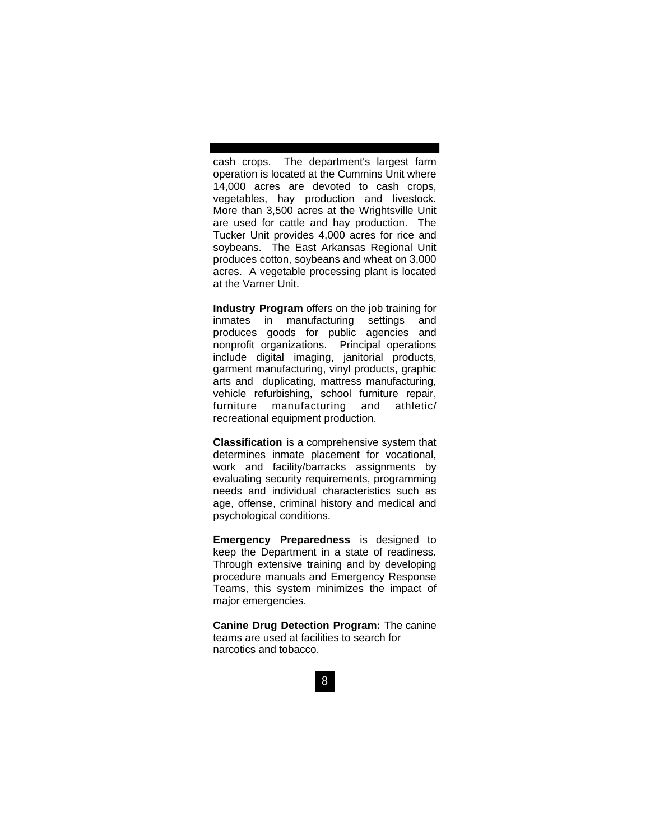cash crops. The department's largest farm operation is located at the Cummins Unit where 14,000 acres are devoted to cash crops, vegetables, hay production and livestock. More than 3,500 acres at the Wrightsville Unit are used for cattle and hay production. The Tucker Unit provides 4,000 acres for rice and soybeans. The East Arkansas Regional Unit produces cotton, soybeans and wheat on 3,000 acres. A vegetable processing plant is located at the Varner Unit.

**Industry Program** offers on the job training for inmates in manufacturing settings and produces goods for public agencies and nonprofit organizations. Principal operations include digital imaging, janitorial products, garment manufacturing, vinyl products, graphic arts and duplicating, mattress manufacturing, vehicle refurbishing, school furniture repair, furniture manufacturing and athletic/ recreational equipment production.

**Classification** is a comprehensive system that determines inmate placement for vocational, work and facility/barracks assignments by evaluating security requirements, programming needs and individual characteristics such as age, offense, criminal history and medical and psychological conditions.

**Emergency Preparedness** is designed to keep the Department in a state of readiness. Through extensive training and by developing procedure manuals and Emergency Response Teams, this system minimizes the impact of major emergencies.

**Canine Drug Detection Program:** The canine teams are used at facilities to search for narcotics and tobacco.

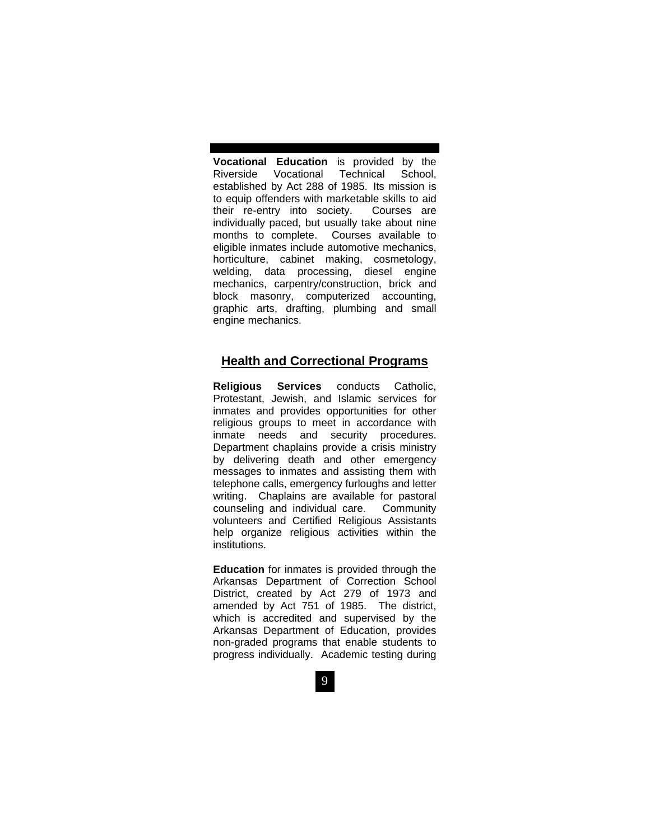**Vocational Education** is provided by the Riverside Vocational Technical School, established by Act 288 of 1985. Its mission is to equip offenders with marketable skills to aid their re-entry into society. Courses are individually paced, but usually take about nine months to complete. Courses available to eligible inmates include automotive mechanics, horticulture, cabinet making, cosmetology, welding, data processing, diesel engine mechanics, carpentry/construction, brick and block masonry, computerized accounting, graphic arts, drafting, plumbing and small engine mechanics.

### **Health and Correctional Programs**

**Religious Services** conducts Catholic, Protestant, Jewish, and Islamic services for inmates and provides opportunities for other religious groups to meet in accordance with inmate needs and security procedures. Department chaplains provide a crisis ministry by delivering death and other emergency messages to inmates and assisting them with telephone calls, emergency furloughs and letter writing. Chaplains are available for pastoral counseling and individual care. Community volunteers and Certified Religious Assistants help organize religious activities within the institutions.

**Education** for inmates is provided through the Arkansas Department of Correction School District, created by Act 279 of 1973 and amended by Act 751 of 1985. The district, which is accredited and supervised by the Arkansas Department of Education, provides non-graded programs that enable students to progress individually. Academic testing during

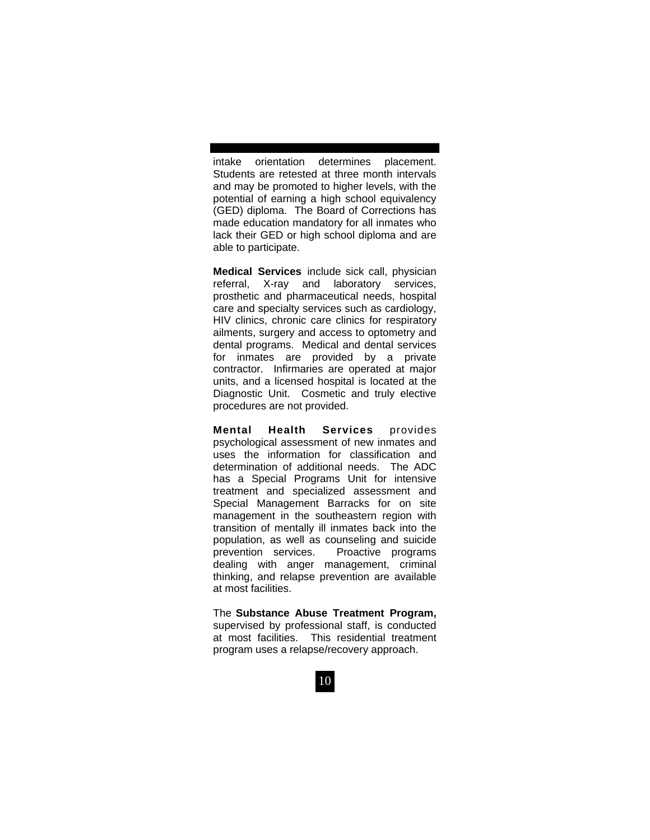intake orientation determines placement. Students are retested at three month intervals and may be promoted to higher levels, with the potential of earning a high school equivalency (GED) diploma. The Board of Corrections has made education mandatory for all inmates who lack their GED or high school diploma and are able to participate.

**Medical Services** include sick call, physician referral, X-ray and laboratory services, prosthetic and pharmaceutical needs, hospital care and specialty services such as cardiology, HIV clinics, chronic care clinics for respiratory ailments, surgery and access to optometry and dental programs. Medical and dental services for inmates are provided by a private contractor. Infirmaries are operated at major units, and a licensed hospital is located at the Diagnostic Unit. Cosmetic and truly elective procedures are not provided.

**Mental Health Services** provides psychological assessment of new inmates and uses the information for classification and determination of additional needs. The ADC has a Special Programs Unit for intensive treatment and specialized assessment and Special Management Barracks for on site management in the southeastern region with transition of mentally ill inmates back into the population, as well as counseling and suicide prevention services. Proactive programs dealing with anger management, criminal thinking, and relapse prevention are available at most facilities.

The **Substance Abuse Treatment Program,** supervised by professional staff, is conducted at most facilities. This residential treatment program uses a relapse/recovery approach.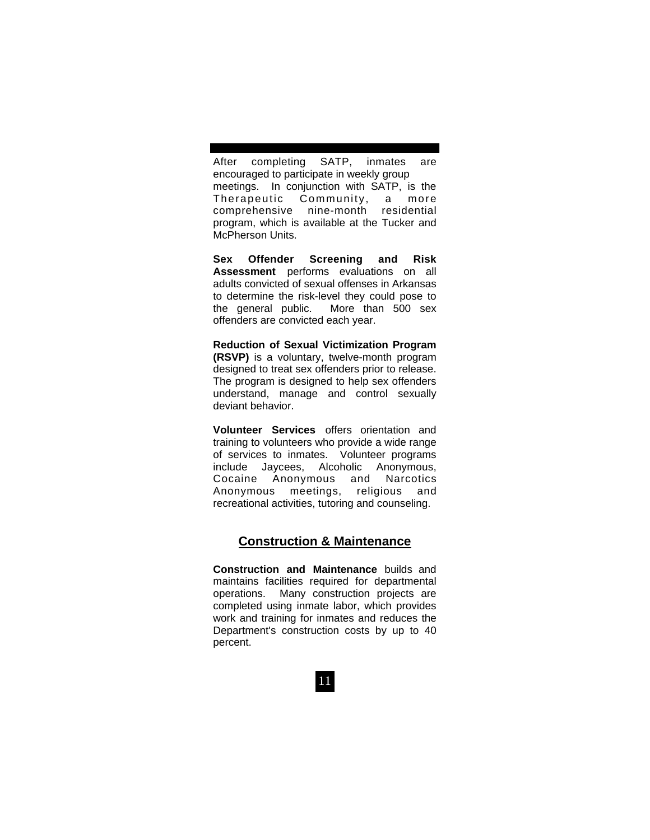After completing SATP, inmates are encouraged to participate in weekly group meetings. In conjunction with SATP, is the Therapeutic Community, a more comprehensive nine-month residential program, which is available at the Tucker and McPherson Units.

**Sex Offender Screening and Risk Assessment** performs evaluations on all adults convicted of sexual offenses in Arkansas to determine the risk-level they could pose to the general public. More than 500 sex offenders are convicted each year.

**Reduction of Sexual Victimization Program (RSVP)** is a voluntary, twelve-month program designed to treat sex offenders prior to release. The program is designed to help sex offenders understand, manage and control sexually deviant behavior.

**Volunteer Services** offers orientation and training to volunteers who provide a wide range of services to inmates. Volunteer programs include Jaycees, Alcoholic Anonymous, Cocaine Anonymous and Narcotics Anonymous meetings, religious and recreational activities, tutoring and counseling.

# **Construction & Maintenance**

**Construction and Maintenance** builds and maintains facilities required for departmental operations. Many construction projects are completed using inmate labor, which provides work and training for inmates and reduces the Department's construction costs by up to 40 percent.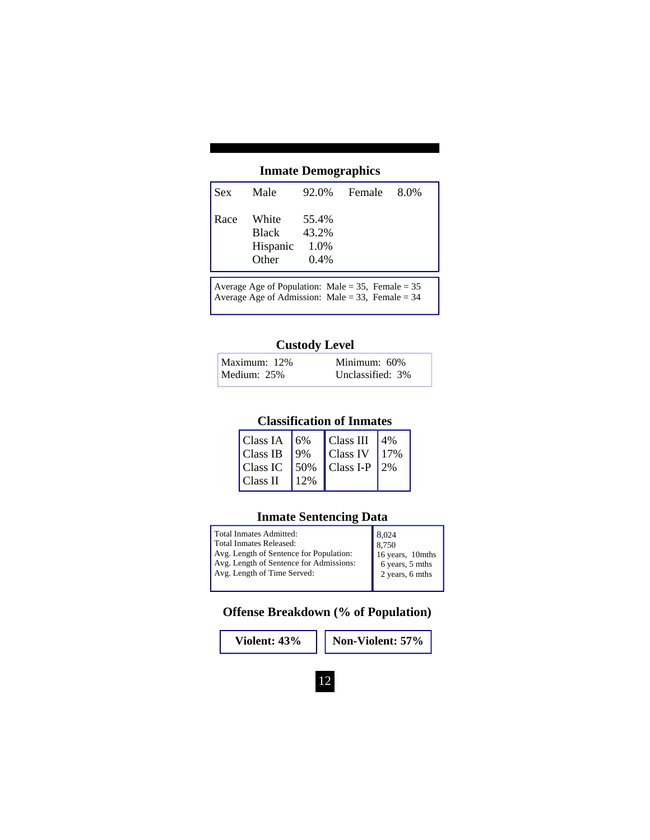# **Inmate Demographics**

| Sex  | Male                                |                                   | 92.0% Female 8.0% |  |
|------|-------------------------------------|-----------------------------------|-------------------|--|
| Race | White<br>Black<br>Hispanic<br>Other | 55.4%<br>43.2%<br>1.0%<br>$0.4\%$ |                   |  |
|      |                                     |                                   |                   |  |

Average Age of Population: Male =  $35$ , Female =  $35$ Average Age of Admission: Male = 33, Female = 34

## **Custody Level**

| Maximum: 12% | Minimum: 60%     |
|--------------|------------------|
| Medium: 25%  | Unclassified: 3% |

## **Classification of Inmates**

| Class IA   6% |              | $\vert$ Class III 4%               |      |
|---------------|--------------|------------------------------------|------|
| Class IB      | $\sqrt{9\%}$ | <b>Class IV</b>                    | 117% |
|               |              | $ Class IC$   50%   Class I-P   2% |      |
| Class II      | 12%          |                                    |      |

# **Inmate Sentencing Data**

| Total Inmates Admitted:                                                                                           | 8.024                                                  |
|-------------------------------------------------------------------------------------------------------------------|--------------------------------------------------------|
| Total Inmates Released:                                                                                           | 8.750                                                  |
| Avg. Length of Sentence for Population:<br>Avg. Length of Sentence for Admissions:<br>Avg. Length of Time Served: | 16 years, 10mths<br>6 years, 5 mths<br>2 years, 6 mths |
|                                                                                                                   |                                                        |

**Offense Breakdown (% of Population)** 

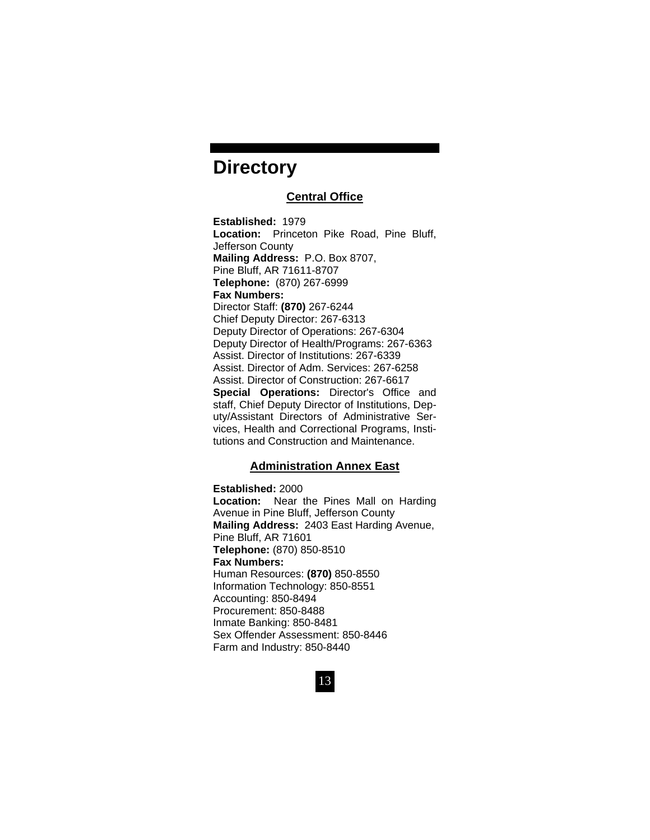# **Directory**

### **Central Office**

**Established:** 1979 **Location:** Princeton Pike Road, Pine Bluff, Jefferson County **Mailing Address:** P.O. Box 8707, Pine Bluff, AR 71611-8707 **Telephone:** (870) 267-6999 **Fax Numbers:**  Director Staff: **(870)** 267-6244 Chief Deputy Director: 267-6313 Deputy Director of Operations: 267-6304 Deputy Director of Health/Programs: 267-6363 Assist. Director of Institutions: 267-6339 Assist. Director of Adm. Services: 267-6258 Assist. Director of Construction: 267-6617 **Special Operations:** Director's Office and staff, Chief Deputy Director of Institutions, Deputy/Assistant Directors of Administrative Services, Health and Correctional Programs, Institutions and Construction and Maintenance.

### **Administration Annex East**

**Established:** 2000 **Location:** Near the Pines Mall on Harding Avenue in Pine Bluff, Jefferson County **Mailing Address:** 2403 East Harding Avenue, Pine Bluff, AR 71601 **Telephone:** (870) 850-8510 **Fax Numbers:** Human Resources: **(870)** 850-8550 Information Technology: 850-8551 Accounting: 850-8494 Procurement: 850-8488 Inmate Banking: 850-8481 Sex Offender Assessment: 850-8446 Farm and Industry: 850-8440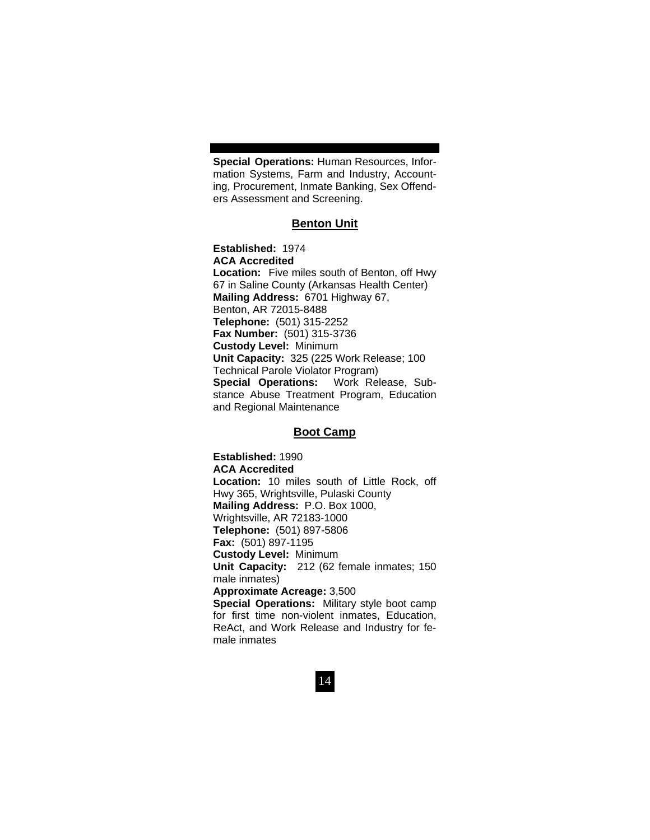**Special Operations:** Human Resources, Information Systems, Farm and Industry, Accounting, Procurement, Inmate Banking, Sex Offenders Assessment and Screening.

#### **Benton Unit**

**Established:** 1974 **ACA Accredited Location:** Five miles south of Benton, off Hwy 67 in Saline County (Arkansas Health Center) **Mailing Address:** 6701 Highway 67, Benton, AR 72015-8488 **Telephone:** (501) 315-2252 **Fax Number:** (501) 315-3736 **Custody Level:** Minimum **Unit Capacity:** 325 (225 Work Release; 100 Technical Parole Violator Program) **Special Operations:** Work Release, Substance Abuse Treatment Program, Education and Regional Maintenance

### **Boot Camp**

**Established:** 1990 **ACA Accredited Location:** 10 miles south of Little Rock, off Hwy 365, Wrightsville, Pulaski County **Mailing Address:** P.O. Box 1000, Wrightsville, AR 72183-1000 **Telephone:** (501) 897-5806 **Fax:** (501) 897-1195 **Custody Level:** Minimum **Unit Capacity:** 212 (62 female inmates; 150 male inmates) **Approximate Acreage:** 3,500 **Special Operations:** Military style boot camp for first time non-violent inmates, Education, ReAct, and Work Release and Industry for female inmates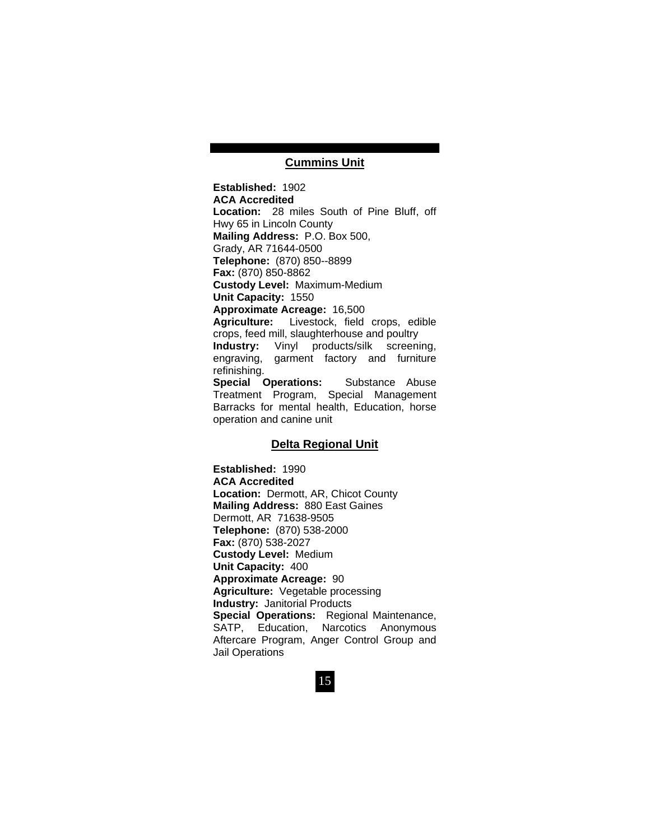### **Cummins Unit**

**Established:** 1902 **ACA Accredited Location:** 28 miles South of Pine Bluff, off Hwy 65 in Lincoln County **Mailing Address:** P.O. Box 500, Grady, AR 71644-0500 **Telephone:** (870) 850--8899 **Fax:** (870) 850-8862 **Custody Level:** Maximum-Medium **Unit Capacity:** 1550 **Approximate Acreage:** 16,500 **Agriculture:** Livestock, field crops, edible crops, feed mill, slaughterhouse and poultry **Industry:** Vinyl products/silk screening, engraving, garment factory and furniture refinishing. **Special Operations:** Substance Abuse Treatment Program, Special Management Barracks for mental health, Education, horse operation and canine unit

#### **Delta Regional Unit**

**Established:** 1990 **ACA Accredited Location:** Dermott, AR, Chicot County **Mailing Address:** 880 East Gaines Dermott, AR 71638-9505 **Telephone:** (870) 538-2000 **Fax:** (870) 538-2027 **Custody Level:** Medium **Unit Capacity:** 400 **Approximate Acreage:** 90 **Agriculture:** Vegetable processing **Industry:** Janitorial Products **Special Operations:** Regional Maintenance, SATP, Education, Narcotics Anonymous Aftercare Program, Anger Control Group and Jail Operations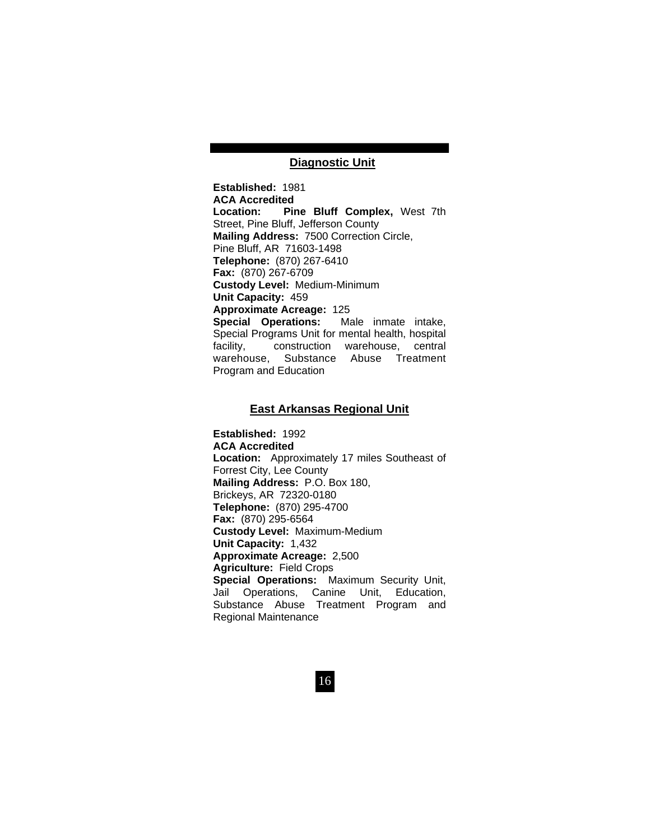### **Diagnostic Unit**

**Established:** 1981 **ACA Accredited Location: Pine Bluff Complex,** West 7th Street, Pine Bluff, Jefferson County **Mailing Address:** 7500 Correction Circle, Pine Bluff, AR 71603-1498 **Telephone:** (870) 267-6410 **Fax:** (870) 267-6709 **Custody Level:** Medium-Minimum **Unit Capacity:** 459 **Approximate Acreage:** 125 **Special Operations:** Male inmate intake, Special Programs Unit for mental health, hospital facility, construction warehouse, central warehouse, Substance Abuse Treatment Program and Education

### **East Arkansas Regional Unit**

**Established:** 1992 **ACA Accredited Location:** Approximately 17 miles Southeast of Forrest City, Lee County **Mailing Address:** P.O. Box 180, Brickeys, AR 72320-0180 **Telephone:** (870) 295-4700 **Fax:** (870) 295-6564 **Custody Level:** Maximum-Medium **Unit Capacity:** 1,432 **Approximate Acreage:** 2,500 **Agriculture:** Field Crops **Special Operations:** Maximum Security Unit, Jail Operations, Canine Unit, Education, Substance Abuse Treatment Program and Regional Maintenance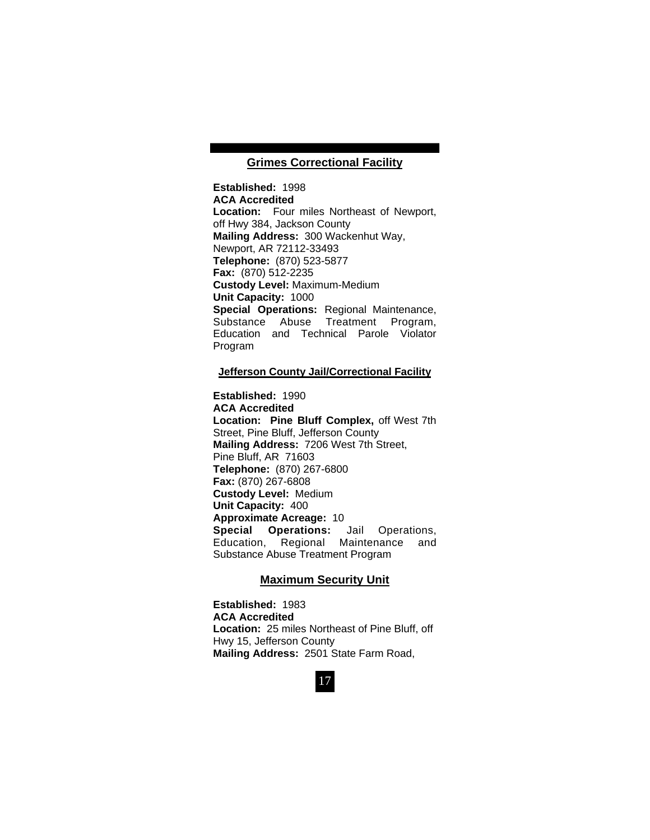### **Grimes Correctional Facility**

**Established:** 1998 **ACA Accredited Location:** Four miles Northeast of Newport, off Hwy 384, Jackson County **Mailing Address:** 300 Wackenhut Way, Newport, AR 72112-33493 **Telephone:** (870) 523-5877 **Fax:** (870) 512-2235 **Custody Level:** Maximum-Medium **Unit Capacity:** 1000 **Special Operations:** Regional Maintenance, Substance Abuse Treatment Program, Education and Technical Parole Violator Program

#### **Jefferson County Jail/Correctional Facility**

**Established:** 1990 **ACA Accredited Location: Pine Bluff Complex,** off West 7th Street, Pine Bluff, Jefferson County **Mailing Address:** 7206 West 7th Street, Pine Bluff, AR 71603 **Telephone:** (870) 267-6800 **Fax:** (870) 267-6808 **Custody Level:** Medium **Unit Capacity:** 400 **Approximate Acreage:** 10 **Special Operations:** Jail Operations, Education, Regional Maintenance and Substance Abuse Treatment Program

#### **Maximum Security Unit**

**Established:** 1983 **ACA Accredited Location:** 25 miles Northeast of Pine Bluff, off Hwy 15, Jefferson County **Mailing Address:** 2501 State Farm Road,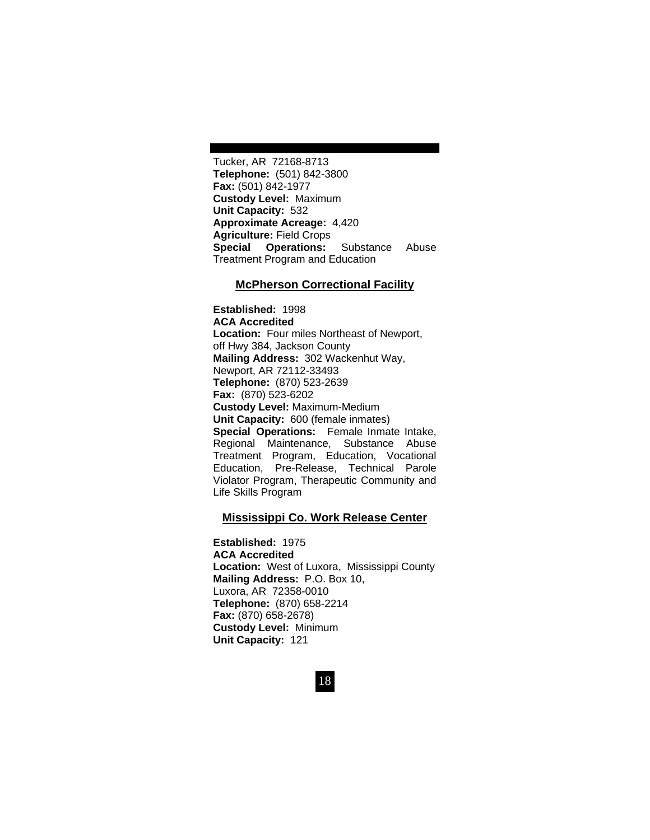Tucker, AR 72168-8713 **Telephone:** (501) 842-3800 **Fax:** (501) 842-1977 **Custody Level:** Maximum **Unit Capacity:** 532 **Approximate Acreage:** 4,420 **Agriculture:** Field Crops **Special Operations:** Substance Abuse Treatment Program and Education

#### **McPherson Correctional Facility**

**Established:** 1998 **ACA Accredited Location:** Four miles Northeast of Newport, off Hwy 384, Jackson County **Mailing Address:** 302 Wackenhut Way, Newport, AR 72112-33493 **Telephone:** (870) 523-2639 **Fax:** (870) 523-6202 **Custody Level:** Maximum-Medium **Unit Capacity:** 600 (female inmates) **Special Operations:** Female Inmate Intake, Regional Maintenance, Substance Abuse Treatment Program, Education, Vocational Education, Pre-Release, Technical Parole Violator Program, Therapeutic Community and Life Skills Program

#### **Mississippi Co. Work Release Center**

**Established:** 1975 **ACA Accredited Location:** West of Luxora, Mississippi County **Mailing Address:** P.O. Box 10, Luxora, AR 72358-0010 **Telephone:** (870) 658-2214 **Fax:** (870) 658-2678) **Custody Level:** Minimum **Unit Capacity:** 121

18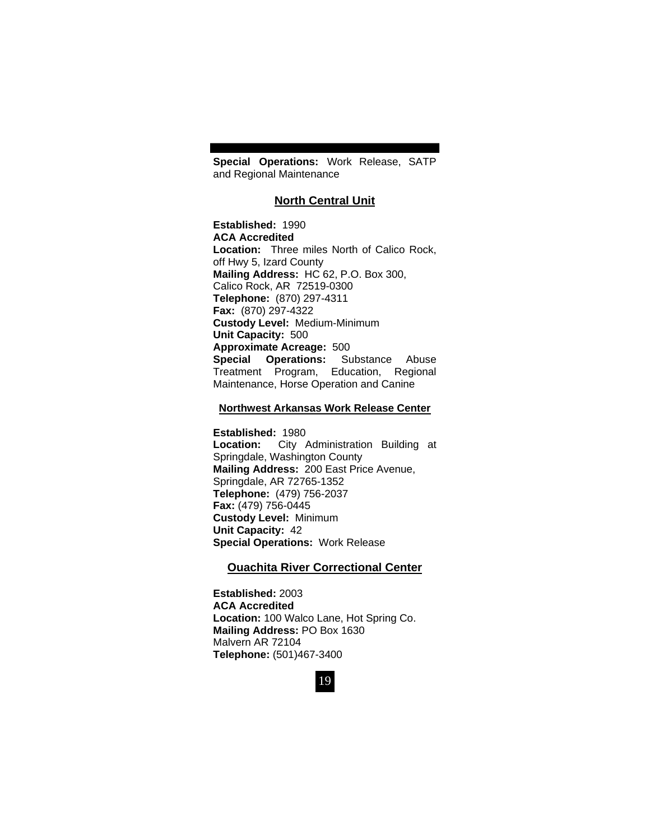**Special Operations:** Work Release, SATP and Regional Maintenance

### **North Central Unit**

**Established:** 1990 **ACA Accredited Location:** Three miles North of Calico Rock, off Hwy 5, Izard County **Mailing Address:** HC 62, P.O. Box 300, Calico Rock, AR 72519-0300 **Telephone:** (870) 297-4311 **Fax:** (870) 297-4322 **Custody Level:** Medium-Minimum **Unit Capacity:** 500 **Approximate Acreage:** 500 **Special Operations:** Substance Abuse Treatment Program, Education, Regional Maintenance, Horse Operation and Canine

#### **Northwest Arkansas Work Release Center**

**Established:** 1980 **Location:** City Administration Building at Springdale, Washington County **Mailing Address:** 200 East Price Avenue, Springdale, AR 72765-1352 **Telephone:** (479) 756-2037 **Fax:** (479) 756-0445 **Custody Level:** Minimum **Unit Capacity:** 42 **Special Operations:** Work Release

### **Ouachita River Correctional Center**

**Established:** 2003 **ACA Accredited Location:** 100 Walco Lane, Hot Spring Co. **Mailing Address:** PO Box 1630 Malvern AR 72104 **Telephone:** (501)467-3400

19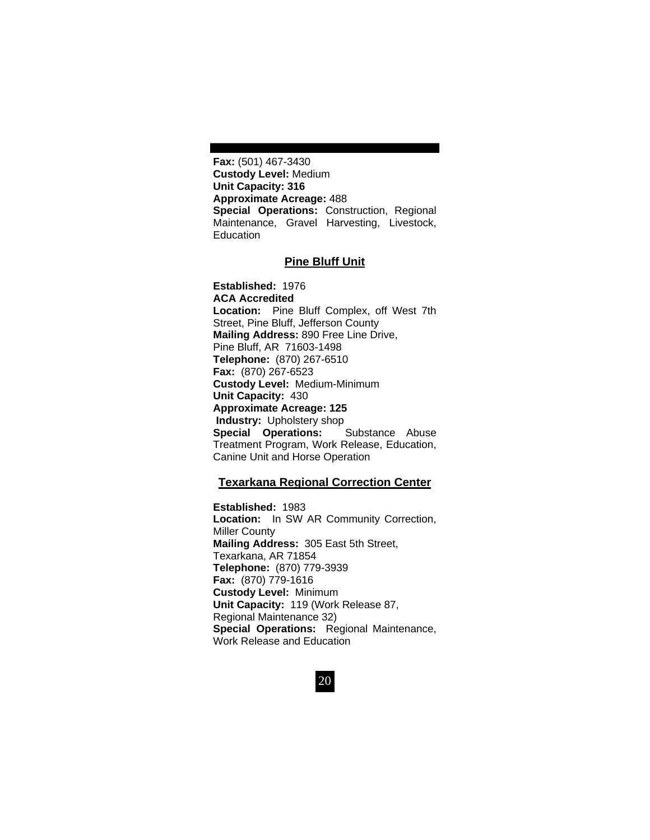**Fax:** (501) 467-3430 **Custody Level:** Medium **Unit Capacity: 316 Approximate Acreage:** 488 **Special Operations:** Construction, Regional Maintenance, Gravel Harvesting, Livestock, **Education** 

### **Pine Bluff Unit**

**Established:** 1976 **ACA Accredited Location:** Pine Bluff Complex, off West 7th Street, Pine Bluff, Jefferson County **Mailing Address:** 890 Free Line Drive, Pine Bluff, AR 71603-1498 **Telephone:** (870) 267-6510 **Fax:** (870) 267-6523 **Custody Level:** Medium-Minimum **Unit Capacity:** 430 **Approximate Acreage: 125 Industry:** Upholstery shop **Special Operations:** Substance Abuse Treatment Program, Work Release, Education, Canine Unit and Horse Operation

#### **Texarkana Regional Correction Center**

**Established:** 1983 **Location:** In SW AR Community Correction, Miller County **Mailing Address:** 305 East 5th Street, Texarkana, AR 71854 **Telephone:** (870) 779-3939 **Fax:** (870) 779-1616 **Custody Level:** Minimum **Unit Capacity:** 119 (Work Release 87, Regional Maintenance 32) **Special Operations:** Regional Maintenance, Work Release and Education

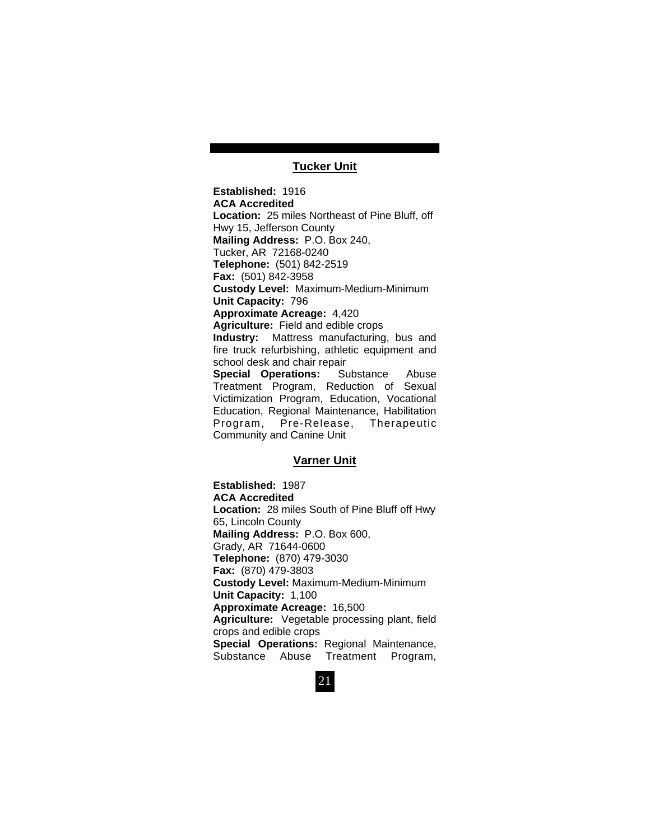### **Tucker Unit**

**Established:** 1916 **ACA Accredited Location:** 25 miles Northeast of Pine Bluff, off Hwy 15, Jefferson County **Mailing Address:** P.O. Box 240, Tucker, AR 72168-0240 **Telephone:** (501) 842-2519 **Fax:** (501) 842-3958 **Custody Level:** Maximum-Medium-Minimum **Unit Capacity:** 796 **Approximate Acreage:** 4,420 **Agriculture:** Field and edible crops **Industry:** Mattress manufacturing, bus and fire truck refurbishing, athletic equipment and school desk and chair repair<br> **Special Operations:** Substance **Special Operations:** Substance Abuse Treatment Program, Reduction of Sexual Victimization Program, Education, Vocational Education, Regional Maintenance, Habilitation Program, Pre-Release, Therapeutic Community and Canine Unit

### **Varner Unit**

**Established:** 1987 **ACA Accredited Location:** 28 miles South of Pine Bluff off Hwy 65, Lincoln County **Mailing Address:** P.O. Box 600, Grady, AR 71644-0600 **Telephone:** (870) 479-3030 **Fax:** (870) 479-3803 **Custody Level:** Maximum-Medium-Minimum **Unit Capacity:** 1,100 **Approximate Acreage:** 16,500 **Agriculture:** Vegetable processing plant, field crops and edible crops **Special Operations:** Regional Maintenance, Substance Abuse Treatment Program,

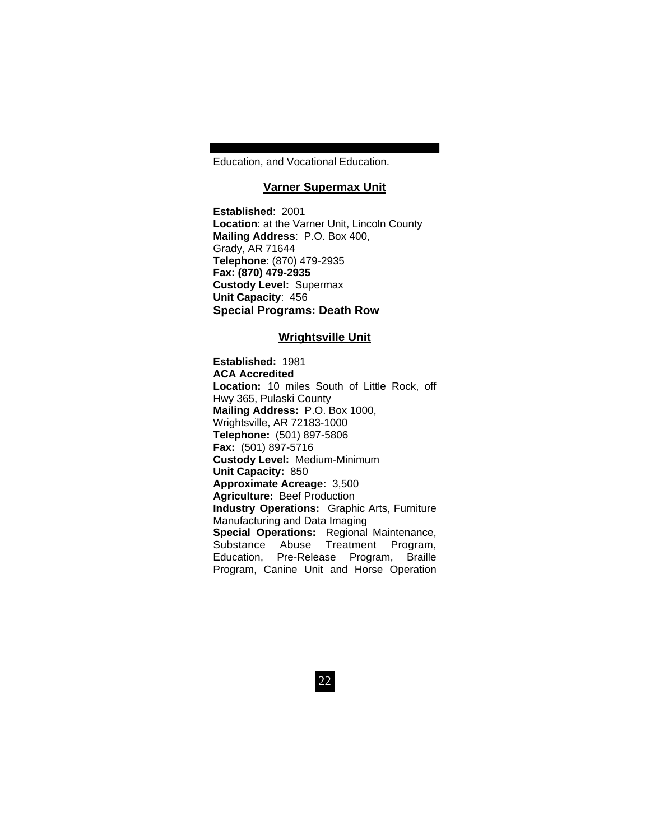Education, and Vocational Education.

### **Varner Supermax Unit**

**Established**: 2001 **Location**: at the Varner Unit, Lincoln County **Mailing Address**: P.O. Box 400, Grady, AR 71644 **Telephone**: (870) 479-2935 **Fax: (870) 479-2935 Custody Level:** Supermax **Unit Capacity**: 456 **Special Programs: Death Row** 

### **Wrightsville Unit**

**Established:** 1981 **ACA Accredited Location:** 10 miles South of Little Rock, off Hwy 365, Pulaski County **Mailing Address:** P.O. Box 1000, Wrightsville, AR 72183-1000 **Telephone:** (501) 897-5806 **Fax:** (501) 897-5716 **Custody Level:** Medium-Minimum **Unit Capacity:** 850 **Approximate Acreage:** 3,500 **Agriculture:** Beef Production **Industry Operations:** Graphic Arts, Furniture Manufacturing and Data Imaging **Special Operations:** Regional Maintenance, Substance Abuse Treatment Program, Education, Pre-Release Program, Braille Program, Canine Unit and Horse Operation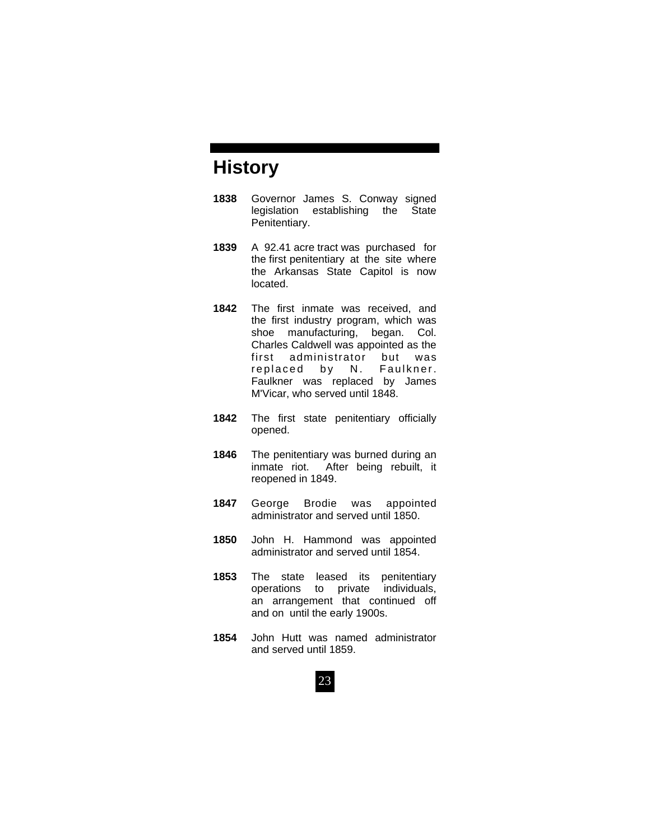# **History**

- **1838** Governor James S. Conway signed legislation establishing the State Penitentiary.
- **1839** A 92.41 acre tract was purchased for the first penitentiary at the site where the Arkansas State Capitol is now located.
- **1842** The first inmate was received, and the first industry program, which was shoe manufacturing, began. Col. Charles Caldwell was appointed as the first administrator but was replaced by N. Faulkner. Faulkner was replaced by James M'Vicar, who served until 1848.
- **1842** The first state penitentiary officially opened.
- **1846** The penitentiary was burned during an inmate riot. After being rebuilt, it reopened in 1849.
- **1847** George Brodie was appointed administrator and served until 1850.
- **1850** John H. Hammond was appointed administrator and served until 1854.
- **1853** The state leased its penitentiary operations to private individuals, an arrangement that continued off and on until the early 1900s.
- **1854** John Hutt was named administrator and served until 1859.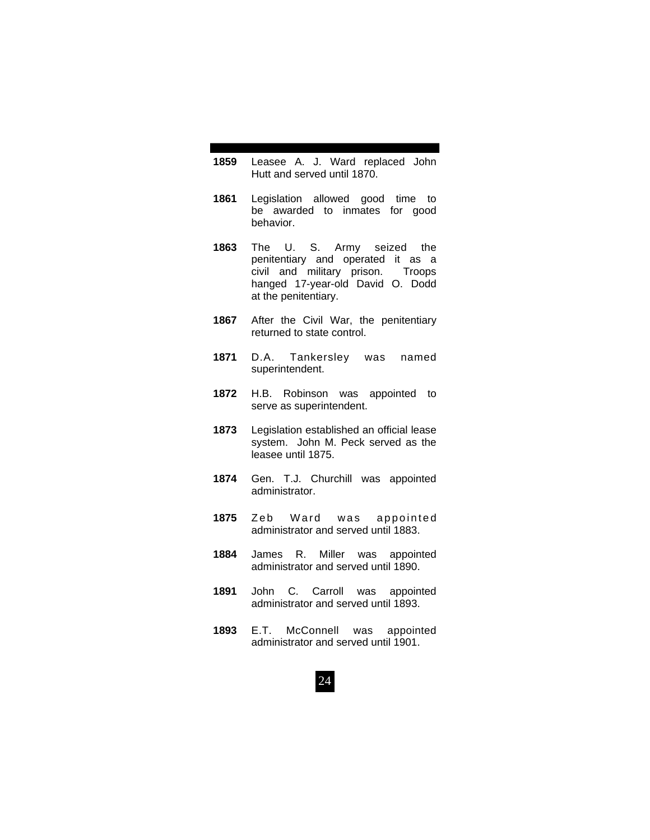- **1859** Leasee A. J. Ward replaced John Hutt and served until 1870.
- **1861** Legislation allowed good time to be awarded to inmates for good behavior.
- **1863** The U. S. Army seized the penitentiary and operated it as a civil and military prison. Troops hanged 17-year-old David O. Dodd at the penitentiary.
- **1867** After the Civil War, the penitentiary returned to state control.
- **1871** D.A. Tankersley was named superintendent.
- **1872** H.B. Robinson was appointed to serve as superintendent.
- **1873** Legislation established an official lease system. John M. Peck served as the leasee until 1875.
- **1874** Gen. T.J. Churchill was appointed administrator.
- **1875** Zeb Ward was appointed administrator and served until 1883.
- **1884** James R. Miller was appointed administrator and served until 1890.
- **1891** John C. Carroll was appointed administrator and served until 1893.
- **1893** E.T. McConnell was appointed administrator and served until 1901.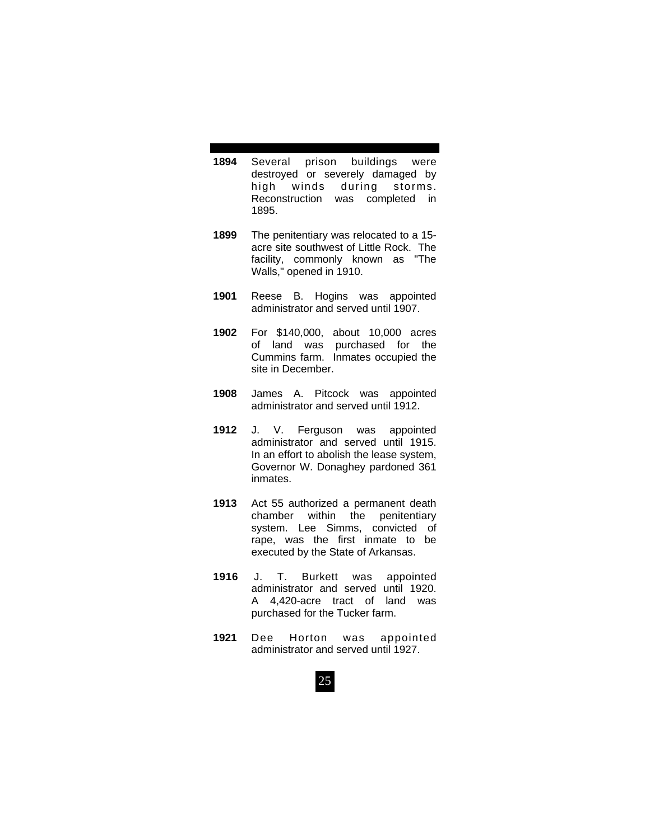- **1894** Several prison buildings were destroyed or severely damaged by high winds during storms. Reconstruction was completed in 1895.
- **1899** The penitentiary was relocated to a 15 acre site southwest of Little Rock. The facility, commonly known as "The Walls," opened in 1910.
- **1901** Reese B. Hogins was appointed administrator and served until 1907.
- **1902** For \$140,000, about 10,000 acres of land was purchased for the Cummins farm. Inmates occupied the site in December.
- **1908** James A. Pitcock was appointed administrator and served until 1912.
- **1912** J. V. Ferguson was appointed administrator and served until 1915. In an effort to abolish the lease system, Governor W. Donaghey pardoned 361 inmates.
- **1913** Act 55 authorized a permanent death chamber within the penitentiary system. Lee Simms, convicted of rape, was the first inmate to be executed by the State of Arkansas.
- **1916** J. T. Burkett was appointed administrator and served until 1920. A 4,420-acre tract of land was purchased for the Tucker farm.
- **1921** Dee Horton was appointed administrator and served until 1927.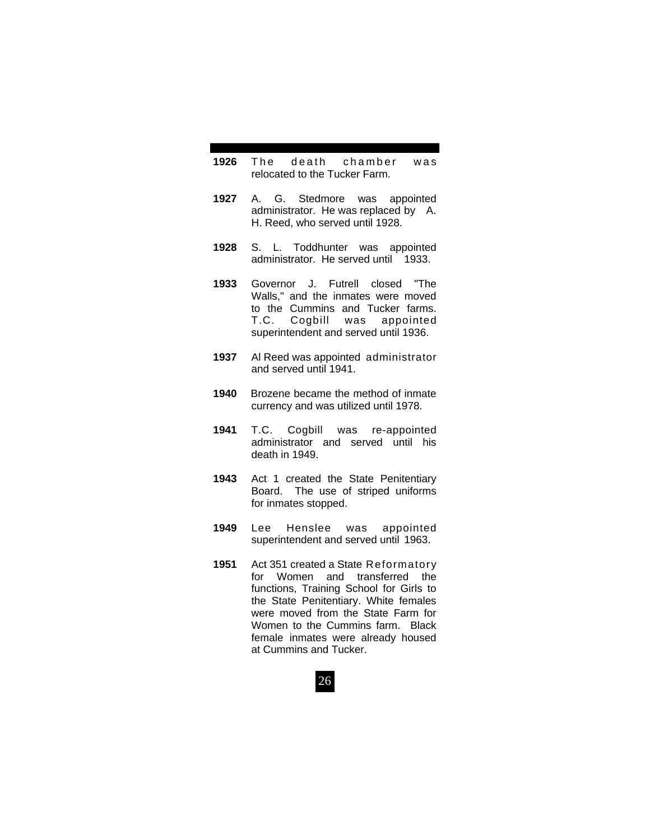- **1926** The death chamber was relocated to the Tucker Farm.
- **1927** A. G. Stedmore was appointed administrator. He was replaced by A. H. Reed, who served until 1928.
- **1928** S. L. Toddhunter was appointed administrator. He served until 1933.
- **1933** Governor J. Futrell closed "The Walls," and the inmates were moved to the Cummins and Tucker farms. T.C. Cogbill was appointed superintendent and served until 1936.
- **1937** Al Reed was appointed administrator and served until 1941.
- **1940** Brozene became the method of inmate currency and was utilized until 1978.
- **1941** T.C. Cogbill was re-appointed administrator and served until his death in 1949.
- **1943** Act 1 created the State Penitentiary Board. The use of striped uniforms for inmates stopped.
- **1949** Lee Henslee was appointed superintendent and served until 1963.
- **1951** Act 351 created a State Reformatory for Women and transferred the functions, Training School for Girls to the State Penitentiary. White females were moved from the State Farm for Women to the Cummins farm. Black female inmates were already housed at Cummins and Tucker.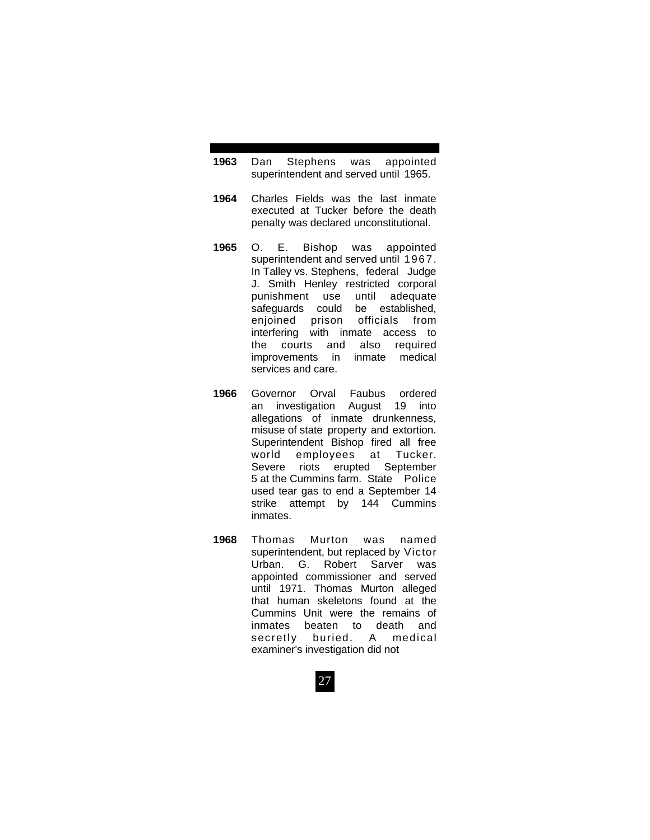- **1963** Dan Stephens was appointed superintendent and served until 1965.
- **1964** Charles Fields was the last inmate executed at Tucker before the death penalty was declared unconstitutional.
- **1965** O. E. Bishop was appointed superintendent and served until 1967. In Talley vs. Stephens, federal Judge J. Smith Henley restricted corporal punishment use until adequate safeguards could be established, enjoined prison officials from interfering with inmate access to the courts and also required improvements in inmate medical services and care.
- **1966** Governor Orval Faubus ordered an investigation August 19 into allegations of inmate drunkenness, misuse of state property and extortion. Superintendent Bishop fired all free world employees at Tucker. Severe riots erupted September 5 at the Cummins farm. State Police used tear gas to end a September 14 strike attempt by 144 Cummins inmates.
- **1968** Thomas Murton was named superintendent, but replaced by Victor Urban. G. Robert Sarver was appointed commissioner and served until 1971. Thomas Murton alleged that human skeletons found at the Cummins Unit were the remains of inmates beaten to death and secretly buried. A medical examiner's investigation did not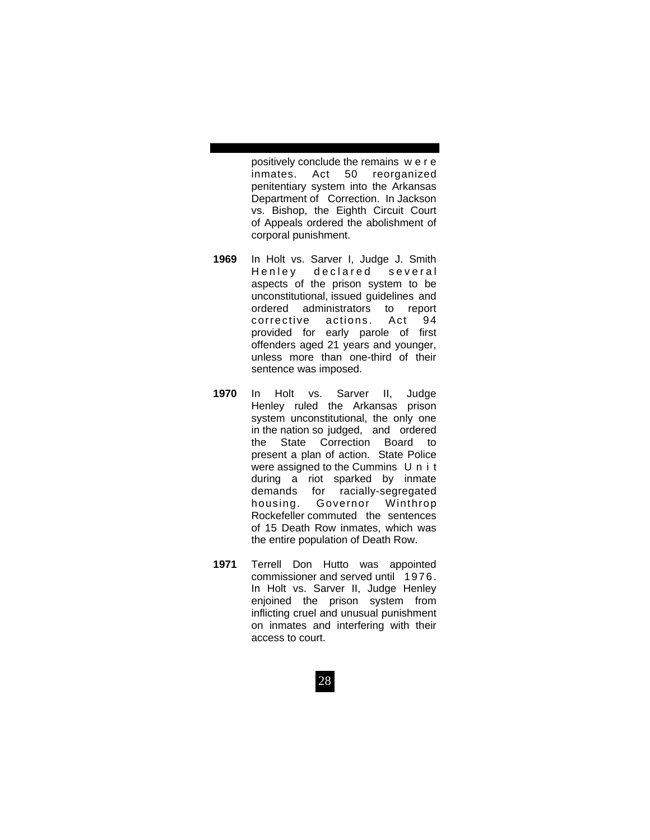positively conclude the remains w e r e inmates. Act 50 reorganized penitentiary system into the Arkansas Department of Correction. In Jackson vs. Bishop, the Eighth Circuit Court of Appeals ordered the abolishment of corporal punishment.

- **1969** In Holt vs. Sarver I, Judge J. Smith Henley declared several aspects of the prison system to be unconstitutional, issued guidelines and ordered administrators to report corrective actions. Act 94 provided for early parole of first offenders aged 21 years and younger, unless more than one-third of their sentence was imposed.
- **1970** In Holt vs. Sarver II, Judge Henley ruled the Arkansas prison system unconstitutional, the only one in the nation so judged, and ordered the State Correction Board to present a plan of action. State Police were assigned to the Cummins U n i t during a riot sparked by inmate demands for racially-segregated housing. Governor Winthrop Rockefeller commuted the sentences of 15 Death Row inmates, which was the entire population of Death Row.
- **1971** Terrell Don Hutto was appointed commissioner and served until 1976. In Holt vs. Sarver II, Judge Henley enjoined the prison system from inflicting cruel and unusual punishment on inmates and interfering with their access to court.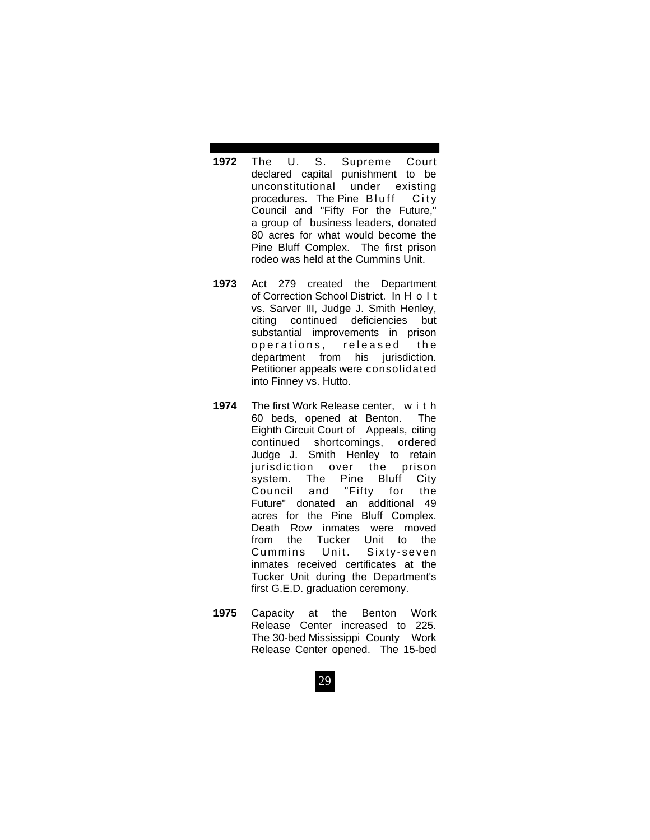- **1972** The U. S. Supreme Court declared capital punishment to be unconstitutional under existing procedures. The Pine Bluff City Council and "Fifty For the Future," a group of business leaders, donated 80 acres for what would become the Pine Bluff Complex. The first prison rodeo was held at the Cummins Unit.
- **1973** Act 279 created the Department of Correction School District. In H o l t vs. Sarver III, Judge J. Smith Henley, citing continued deficiencies but substantial improvements in prison operations, released the department from his jurisdiction. Petitioner appeals were consolidated into Finney vs. Hutto.
- **1974** The first Work Release center, w i t h 60 beds, opened at Benton. The Eighth Circuit Court of Appeals, citing continued shortcomings, ordered Judge J. Smith Henley to retain jurisdiction over the prison system. The Pine Bluff City Council and "Fifty for the Future" donated an additional 49 acres for the Pine Bluff Complex. Death Row inmates were moved from the Tucker Unit to the Cummins Unit. Sixty-seven inmates received certificates at the Tucker Unit during the Department's first G.E.D. graduation ceremony.
- **1975** Capacity at the Benton Work Release Center increased to 225. The 30-bed Mississippi County Work Release Center opened. The 15-bed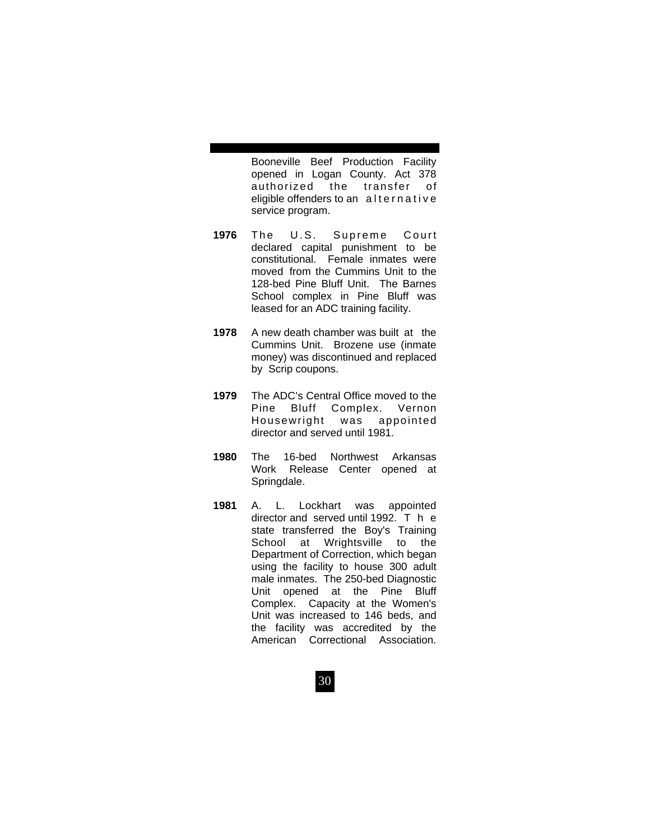Booneville Beef Production Facility opened in Logan County. Act 378 authorized the transfer of eligible offenders to an alternative service program.

- **1976** The U.S. Supreme Court declared capital punishment to be constitutional. Female inmates were moved from the Cummins Unit to the 128-bed Pine Bluff Unit. The Barnes School complex in Pine Bluff was leased for an ADC training facility.
- **1978** A new death chamber was built at the Cummins Unit. Brozene use (inmate money) was discontinued and replaced by Scrip coupons.
- **1979** The ADC's Central Office moved to the Pine Bluff Complex. Vernon Housewright was appointed director and served until 1981.
- **1980** The 16-bed Northwest Arkansas Work Release Center opened at Springdale.
- **1981** A. L. Lockhart was appointed director and served until 1992. T h e state transferred the Boy's Training School at Wrightsville to the Department of Correction, which began using the facility to house 300 adult male inmates. The 250-bed Diagnostic Unit opened at the Pine Bluff Complex. Capacity at the Women's Unit was increased to 146 beds, and the facility was accredited by the American Correctional Association.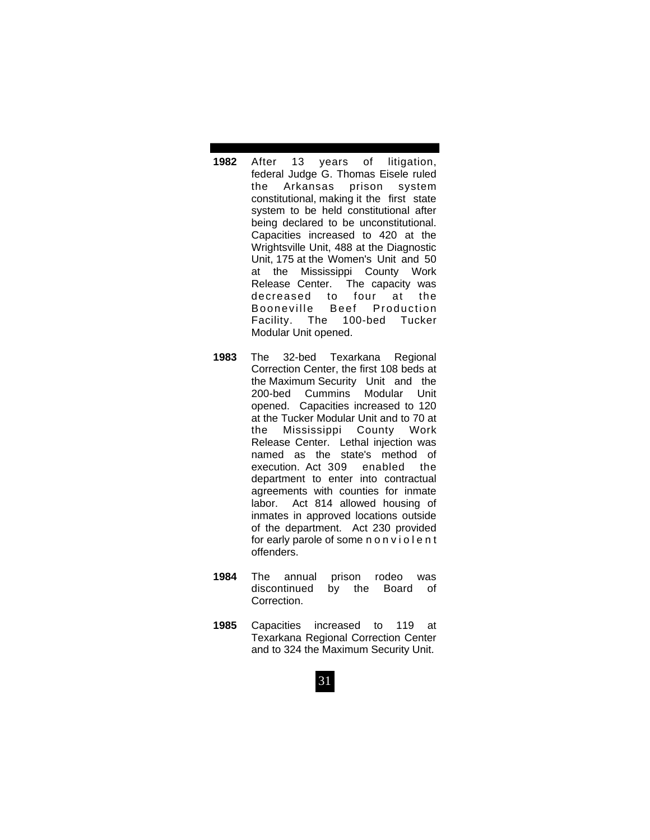- **1982** After 13 years of litigation, federal Judge G. Thomas Eisele ruled the Arkansas prison system constitutional, making it the first state system to be held constitutional after being declared to be unconstitutional. Capacities increased to 420 at the Wrightsville Unit, 488 at the Diagnostic Unit, 175 at the Women's Unit and 50 at the Mississippi County Work Release Center. The capacity was decreased to four at the Booneville Beef Production Facility. The 100-bed Tucker Modular Unit opened.
- **1983** The 32-bed Texarkana Regional Correction Center, the first 108 beds at the Maximum Security Unit and the 200-bed Cummins Modular Unit opened. Capacities increased to 120 at the Tucker Modular Unit and to 70 at the Mississippi County Work Release Center. Lethal injection was named as the state's method of execution. Act 309 enabled the department to enter into contractual agreements with counties for inmate labor. Act 814 allowed housing of inmates in approved locations outside of the department. Act 230 provided for early parole of some nonviolent offenders.
- **1984** The annual prison rodeo was discontinued by the Board of Correction.
- **1985** Capacities increased to 119 at Texarkana Regional Correction Center and to 324 the Maximum Security Unit.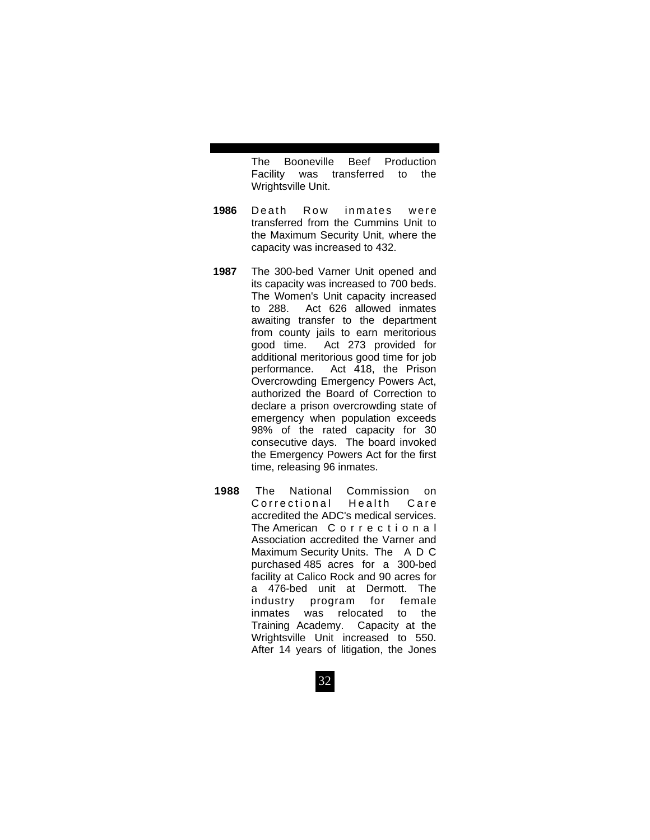The Booneville Beef Production Facility was transferred to the Wrightsville Unit.

- **1986** Death Row inmates were transferred from the Cummins Unit to the Maximum Security Unit, where the capacity was increased to 432.
- **1987** The 300-bed Varner Unit opened and its capacity was increased to 700 beds. The Women's Unit capacity increased to 288. Act 626 allowed inmates awaiting transfer to the department from county jails to earn meritorious good time. Act 273 provided for additional meritorious good time for job performance. Act 418, the Prison Overcrowding Emergency Powers Act, authorized the Board of Correction to declare a prison overcrowding state of emergency when population exceeds 98% of the rated capacity for 30 consecutive days. The board invoked the Emergency Powers Act for the first time, releasing 96 inmates.
- **1988** The National Commission on Correctional Health Care accredited the ADC's medical services. The American C o r r e c t i o n a l Association accredited the Varner and Maximum Security Units. The A D C purchased 485 acres for a 300-bed facility at Calico Rock and 90 acres for a 476-bed unit at Dermott. The industry program for female inmates was relocated to the Training Academy. Capacity at the Wrightsville Unit increased to 550. After 14 years of litigation, the Jones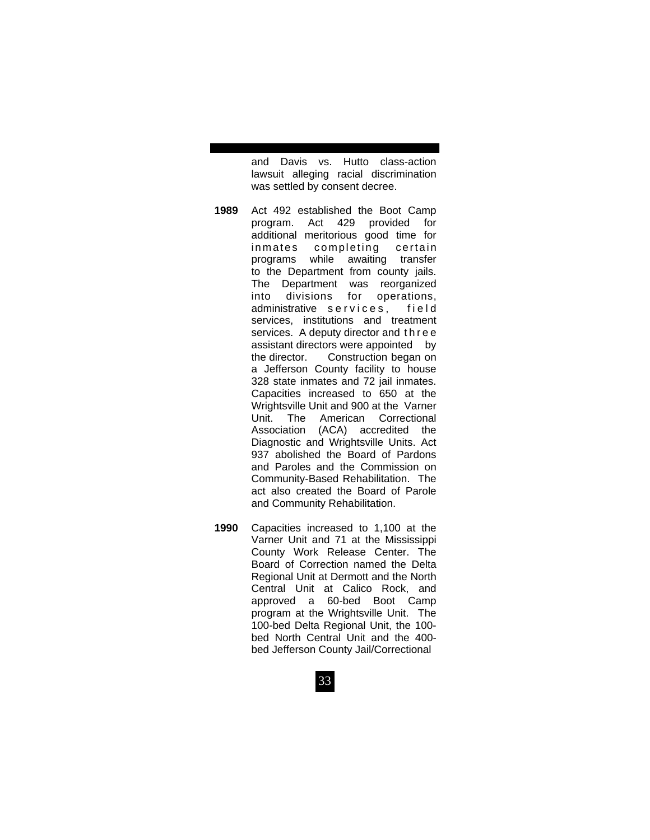and Davis vs. Hutto class-action lawsuit alleging racial discrimination was settled by consent decree.

- **1989** Act 492 established the Boot Camp program. Act 429 provided for additional meritorious good time for inmates completing certain programs while awaiting transfer to the Department from county jails. The Department was reorganized into divisions for operations, administrative services, field services, institutions and treatment services. A deputy director and three assistant directors were appointed by the director. Construction began on a Jefferson County facility to house 328 state inmates and 72 jail inmates. Capacities increased to 650 at the Wrightsville Unit and 900 at the Varner Unit. The American Correctional Association (ACA) accredited the Diagnostic and Wrightsville Units. Act 937 abolished the Board of Pardons and Paroles and the Commission on Community-Based Rehabilitation. The act also created the Board of Parole and Community Rehabilitation.
- **1990** Capacities increased to 1,100 at the Varner Unit and 71 at the Mississippi County Work Release Center. The Board of Correction named the Delta Regional Unit at Dermott and the North Central Unit at Calico Rock, and approved a 60-bed Boot Camp program at the Wrightsville Unit. The 100-bed Delta Regional Unit, the 100 bed North Central Unit and the 400 bed Jefferson County Jail/Correctional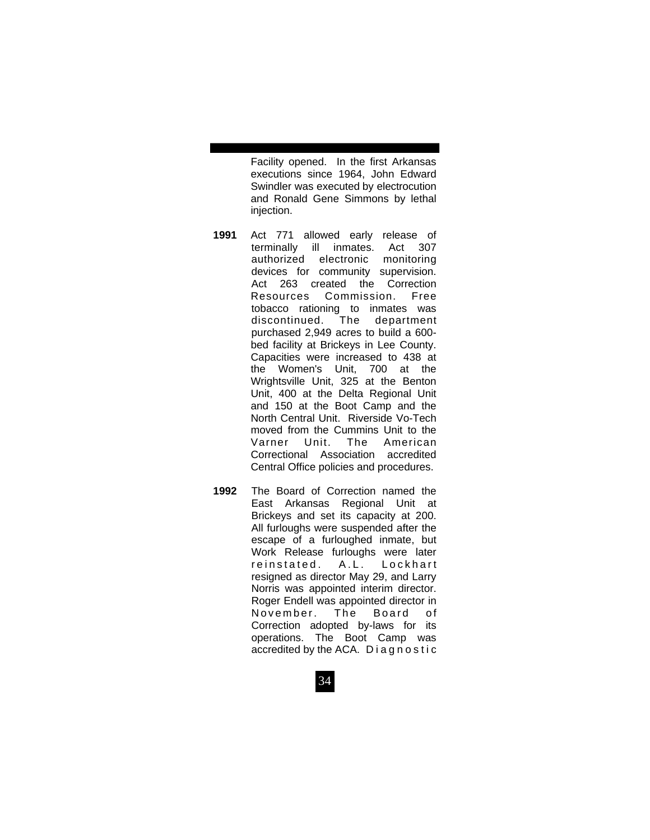Facility opened. In the first Arkansas executions since 1964, John Edward Swindler was executed by electrocution and Ronald Gene Simmons by lethal injection.

- **1991** Act 771 allowed early release of terminally ill inmates. Act 307 authorized electronic monitoring devices for community supervision. Act 263 created the Correction Resources Commission. Free tobacco rationing to inmates was discontinued. The department purchased 2,949 acres to build a 600 bed facility at Brickeys in Lee County. Capacities were increased to 438 at the Women's Unit, 700 at the Wrightsville Unit, 325 at the Benton Unit, 400 at the Delta Regional Unit and 150 at the Boot Camp and the North Central Unit. Riverside Vo-Tech moved from the Cummins Unit to the Varner Unit. The American Correctional Association accredited Central Office policies and procedures.
- **1992** The Board of Correction named the East Arkansas Regional Unit at Brickeys and set its capacity at 200. All furloughs were suspended after the escape of a furloughed inmate, but Work Release furloughs were later<br>reinstated. A.L. Lockhart reinstated. A.L. Lockhart resigned as director May 29, and Larry Norris was appointed interim director. Roger Endell was appointed director in November. The Board of Correction adopted by-laws for its operations. The Boot Camp was accredited by the ACA. Diagnostic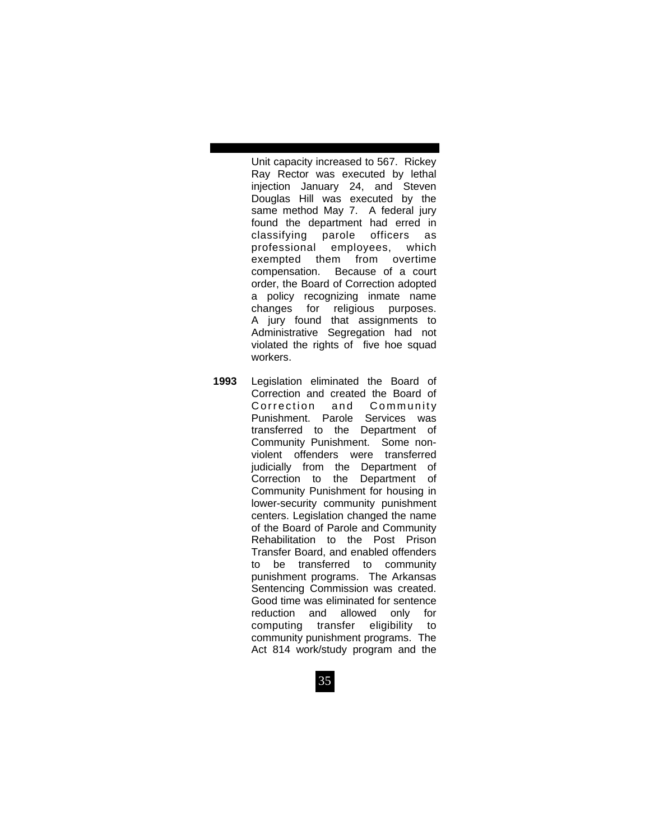Unit capacity increased to 567. Rickey Ray Rector was executed by lethal injection January 24, and Steven Douglas Hill was executed by the same method May 7. A federal jury found the department had erred in classifying parole officers as professional employees, which exempted them from overtime compensation. Because of a court order, the Board of Correction adopted a policy recognizing inmate name changes for religious purposes. A jury found that assignments to Administrative Segregation had not violated the rights of five hoe squad workers.

**1993** Legislation eliminated the Board of Correction and created the Board of Correction and Community Punishment. Parole Services was transferred to the Department of Community Punishment. Some non violent offenders were transferred judicially from the Department of Correction to the Department of Community Punishment for housing in lower-security community punishment centers. Legislation changed the name of the Board of Parole and Community Rehabilitation to the Post Prison Transfer Board, and enabled offenders to be transferred to community punishment programs. The Arkansas Sentencing Commission was created. Good time was eliminated for sentence reduction and allowed only for computing transfer eligibility to community punishment programs. The Act 814 work/study program and the

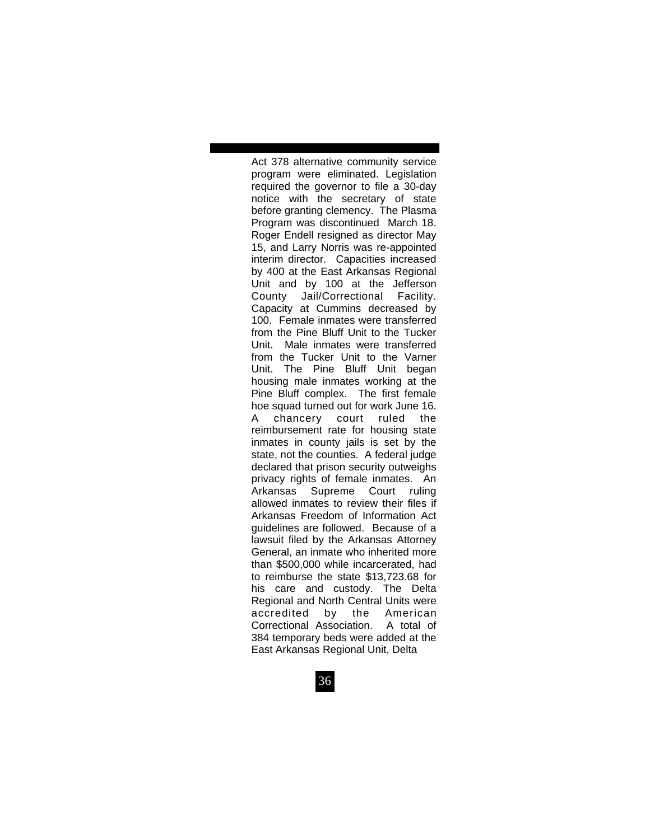Act 378 alternative community service program were eliminated. Legislation required the governor to file a 30-day notice with the secretary of state before granting clemency. The Plasma Program was discontinued March 18. Roger Endell resigned as director May 15, and Larry Norris was re-appointed interim director. Capacities increased by 400 at the East Arkansas Regional Unit and by 100 at the Jefferson County Jail/Correctional Facility. Capacity at Cummins decreased by 100. Female inmates were transferred from the Pine Bluff Unit to the Tucker Unit. Male inmates were transferred from the Tucker Unit to the Varner Unit. The Pine Bluff Unit began housing male inmates working at the Pine Bluff complex. The first female hoe squad turned out for work June 16. A chancery court ruled the reimbursement rate for housing state inmates in county jails is set by the state, not the counties. A federal judge declared that prison security outweighs privacy rights of female inmates. An Arkansas Supreme Court ruling allowed inmates to review their files if Arkansas Freedom of Information Act guidelines are followed. Because of a lawsuit filed by the Arkansas Attorney General, an inmate who inherited more than \$500,000 while incarcerated, had to reimburse the state \$13,723.68 for his care and custody. The Delta Regional and North Central Units were accredited by the American Correctional Association. A total of 384 temporary beds were added at the East Arkansas Regional Unit, Delta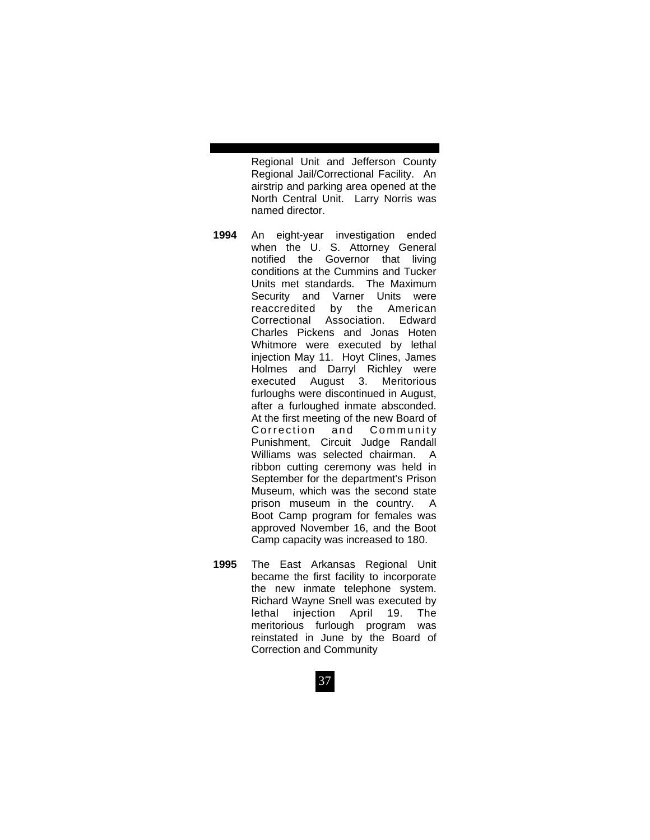Regional Unit and Jefferson County Regional Jail/Correctional Facility. An airstrip and parking area opened at the North Central Unit. Larry Norris was named director.

- **1994** An eight-year investigation ended when the U. S. Attorney General notified the Governor that living conditions at the Cummins and Tucker Units met standards. The Maximum Security and Varner Units were reaccredited by the American Correctional Association. Edward Charles Pickens and Jonas Hoten Whitmore were executed by lethal injection May 11. Hoyt Clines, James Holmes and Darryl Richley were executed August 3. Meritorious furloughs were discontinued in August, after a furloughed inmate absconded. At the first meeting of the new Board of Correction and Community Punishment, Circuit Judge Randall Williams was selected chairman. A ribbon cutting ceremony was held in September for the department's Prison Museum, which was the second state prison museum in the country. A Boot Camp program for females was approved November 16, and the Boot Camp capacity was increased to 180.
- **1995** The East Arkansas Regional Unit became the first facility to incorporate the new inmate telephone system. Richard Wayne Snell was executed by lethal injection April 19. The meritorious furlough program was reinstated in June by the Board of Correction and Community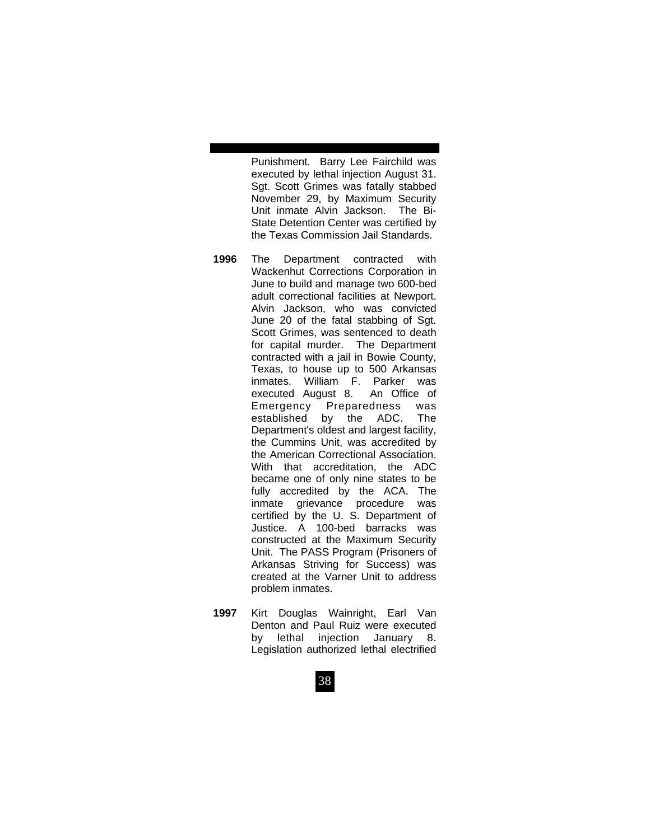Punishment. Barry Lee Fairchild was executed by lethal injection August 31. Sgt. Scott Grimes was fatally stabbed November 29, by Maximum Security Unit inmate Alvin Jackson. The Bi-State Detention Center was certified by the Texas Commission Jail Standards.

- **1996** The Department contracted with Wackenhut Corrections Corporation in June to build and manage two 600-bed adult correctional facilities at Newport. Alvin Jackson, who was convicted June 20 of the fatal stabbing of Sgt. Scott Grimes, was sentenced to death for capital murder. The Department contracted with a jail in Bowie County, Texas, to house up to 500 Arkansas inmates. William F. Parker was executed August 8. An Office of Emergency Preparedness was established by the ADC. The Department's oldest and largest facility, the Cummins Unit, was accredited by the American Correctional Association. With that accreditation, the ADC became one of only nine states to be fully accredited by the ACA. The inmate grievance procedure was certified by the U. S. Department of Justice. A 100-bed barracks was constructed at the Maximum Security Unit. The PASS Program (Prisoners of Arkansas Striving for Success) was created at the Varner Unit to address problem inmates.
- **1997** Kirt Douglas Wainright, Earl Van Denton and Paul Ruiz were executed by lethal injection January 8. Legislation authorized lethal electrified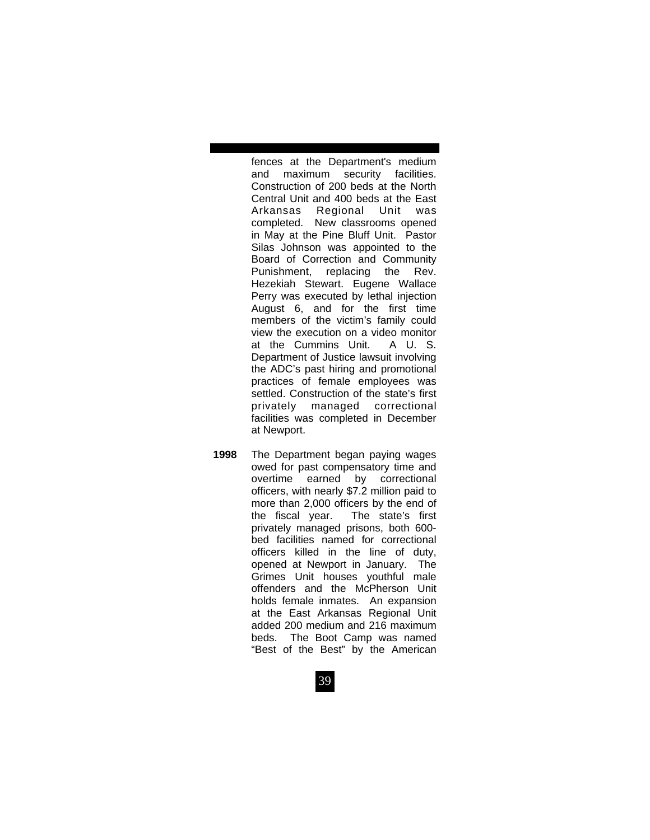fences at the Department's medium and maximum security facilities. Construction of 200 beds at the North Central Unit and 400 beds at the East Arkansas Regional Unit was completed. New classrooms opened in May at the Pine Bluff Unit. Pastor Silas Johnson was appointed to the Board of Correction and Community Punishment, replacing the Rev. Hezekiah Stewart. Eugene Wallace Perry was executed by lethal injection August 6, and for the first time members of the victim's family could view the execution on a video monitor at the Cummins Unit. A U. S. Department of Justice lawsuit involving the ADC's past hiring and promotional practices of female employees was settled. Construction of the state's first privately managed correctional facilities was completed in December at Newport.

**1998** The Department began paying wages owed for past compensatory time and overtime earned by correctional officers, with nearly \$7.2 million paid to more than 2,000 officers by the end of the fiscal year. The state's first privately managed prisons, both 600 bed facilities named for correctional officers killed in the line of duty, opened at Newport in January. The Grimes Unit houses youthful male offenders and the McPherson Unit holds female inmates. An expansion at the East Arkansas Regional Unit added 200 medium and 216 maximum beds. The Boot Camp was named "Best of the Best" by the American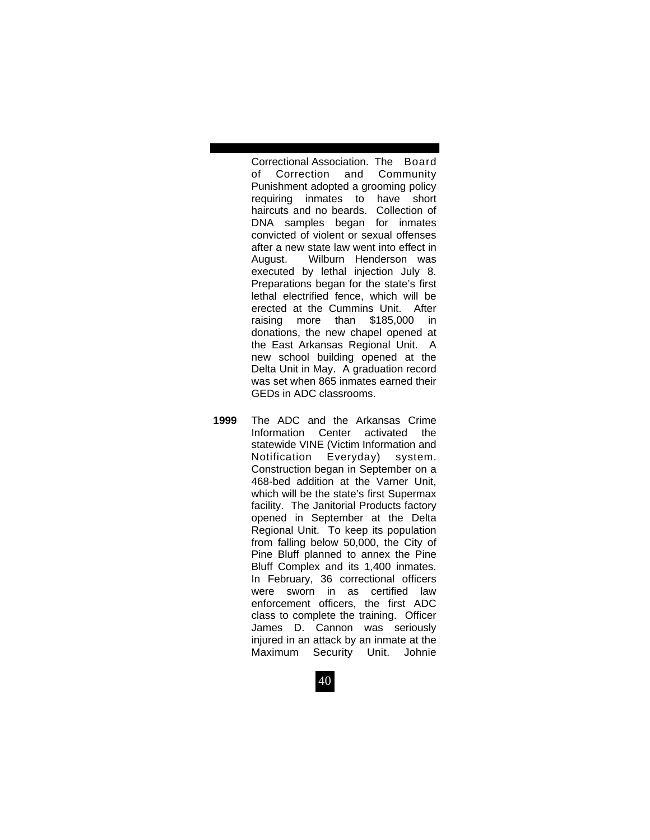Correctional Association. The Board of Correction and Community Punishment adopted a grooming policy requiring inmates to have short haircuts and no beards. Collection of DNA samples began for inmates convicted of violent or sexual offenses after a new state law went into effect in August. Wilburn Henderson was executed by lethal injection July 8. Preparations began for the state's first lethal electrified fence, which will be erected at the Cummins Unit. After raising more than \$185,000 in donations, the new chapel opened at the East Arkansas Regional Unit. A new school building opened at the Delta Unit in May. A graduation record was set when 865 inmates earned their GEDs in ADC classrooms.

**1999** The ADC and the Arkansas Crime Information Center activated the statewide VINE (Victim Information and Notification Everyday) system. Construction began in September on a 468-bed addition at the Varner Unit, which will be the state's first Supermax facility. The Janitorial Products factory opened in September at the Delta Regional Unit. To keep its population from falling below 50,000, the City of Pine Bluff planned to annex the Pine Bluff Complex and its 1,400 inmates. In February, 36 correctional officers were sworn in as certified law enforcement officers, the first ADC class to complete the training. Officer James D. Cannon was seriously injured in an attack by an inmate at the Maximum Security Unit. Johnie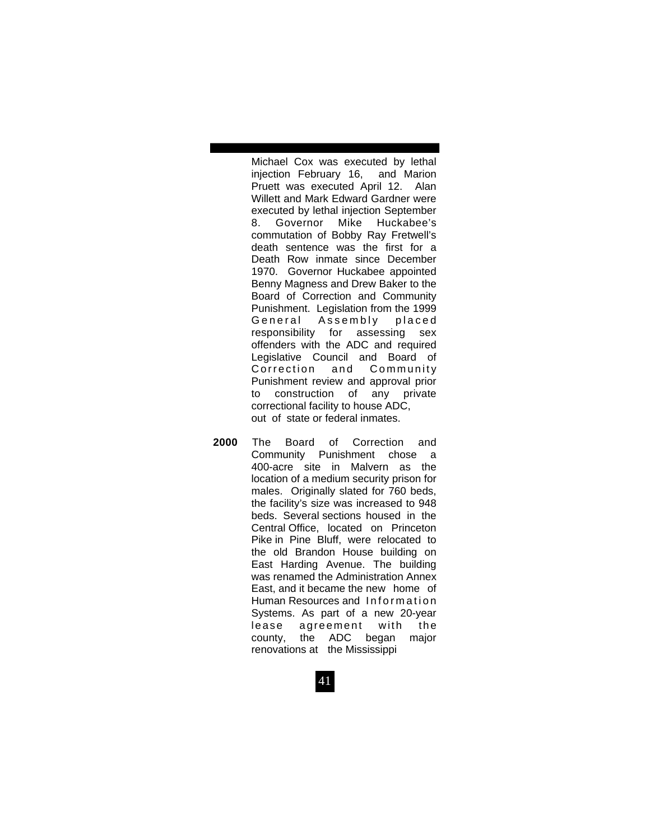Michael Cox was executed by lethal injection February 16, and Marion Pruett was executed April 12. Alan Willett and Mark Edward Gardner were executed by lethal injection September 8. Governor Mike Huckabee's commutation of Bobby Ray Fretwell's death sentence was the first for a Death Row inmate since December 1970. Governor Huckabee appointed Benny Magness and Drew Baker to the Board of Correction and Community Punishment. Legislation from the 1999 General Assembly placed responsibility for assessing sex offenders with the ADC and required Legislative Council and Board of Correction and Community Punishment review and approval prior to construction of any private correctional facility to house ADC, out of state or federal inmates.

**2000** The Board of Correction and Community Punishment chose a 400-acre site in Malvern as the location of a medium security prison for males. Originally slated for 760 beds, the facility's size was increased to 948 beds. Several sections housed in the Central Office, located on Princeton Pike in Pine Bluff, were relocated to the old Brandon House building on East Harding Avenue. The building was renamed the Administration Annex East, and it became the new home of Human Resources and Information Systems. As part of a new 20-year lease agreement with the county, the ADC began major renovations at the Mississippi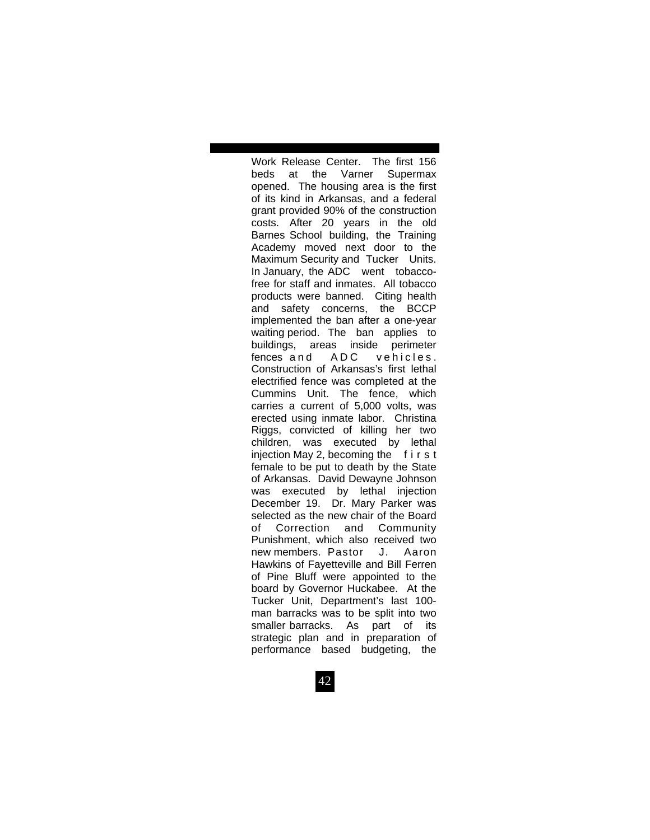Work Release Center. The first 156 beds at the Varner Supermax opened. The housing area is the first of its kind in Arkansas, and a federal grant provided 90% of the construction costs. After 20 years in the old Barnes School building, the Training Academy moved next door to the Maximum Security and Tucker Units. In January, the ADC went tobacco free for staff and inmates. All tobacco products were banned. Citing health and safety concerns, the BCCP implemented the ban after a one-year waiting period. The ban applies to buildings, areas inside perimeter fences and ADC vehicles. Construction of Arkansas's first lethal electrified fence was completed at the Cummins Unit. The fence, which carries a current of 5,000 volts, was erected using inmate labor. Christina Riggs, convicted of killing her two children, was executed by lethal injection May 2, becoming the  $f$  i r s t female to be put to death by the State of Arkansas. David Dewayne Johnson was executed by lethal injection December 19. Dr. Mary Parker was selected as the new chair of the Board of Correction and Community Punishment, which also received two new members. Pastor J. Aaron Hawkins of Fayetteville and Bill Ferren of Pine Bluff were appointed to the board by Governor Huckabee. At the Tucker Unit, Department's last 100 man barracks was to be split into two smaller barracks. As part of its strategic plan and in preparation of performance based budgeting, the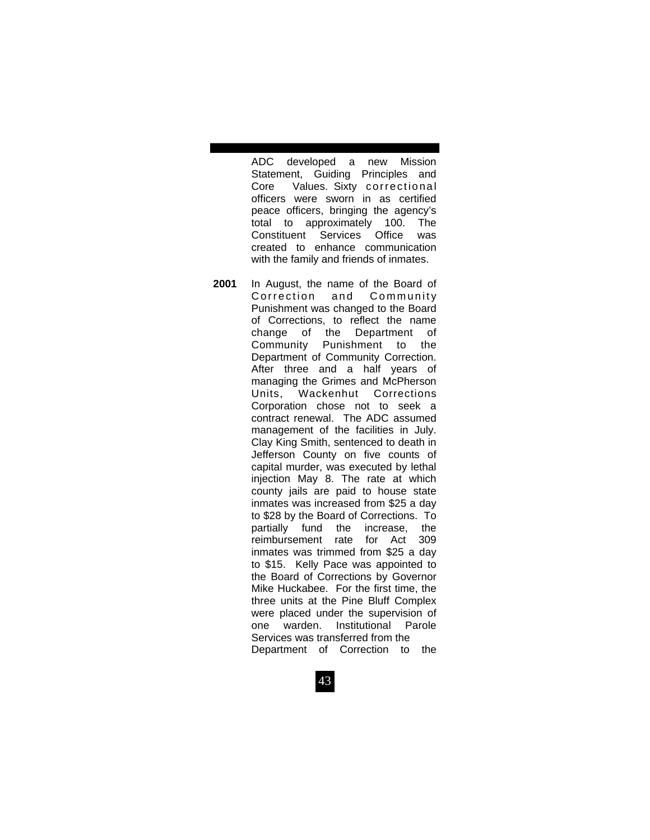ADC developed a new Mission Statement, Guiding Principles and Core Values. Sixty correctional officers were sworn in as certified peace officers, bringing the agency's total to approximately 100. The Constituent Services Office was created to enhance communication with the family and friends of inmates.

**2001** In August, the name of the Board of Correction and Community Punishment was changed to the Board of Corrections, to reflect the name change of the Department of Community Punishment to the Department of Community Correction. After three and a half years of managing the Grimes and McPherson Units, Wackenhut Corrections Corporation chose not to seek a contract renewal. The ADC assumed management of the facilities in July. Clay King Smith, sentenced to death in Jefferson County on five counts of capital murder, was executed by lethal injection May 8. The rate at which county jails are paid to house state inmates was increased from \$25 a day to \$28 by the Board of Corrections. To partially fund the increase, the reimbursement rate for Act 309 inmates was trimmed from \$25 a day to \$15. Kelly Pace was appointed to the Board of Corrections by Governor Mike Huckabee. For the first time, the three units at the Pine Bluff Complex were placed under the supervision of one warden. Institutional Parole Services was transferred from the Department of Correction to the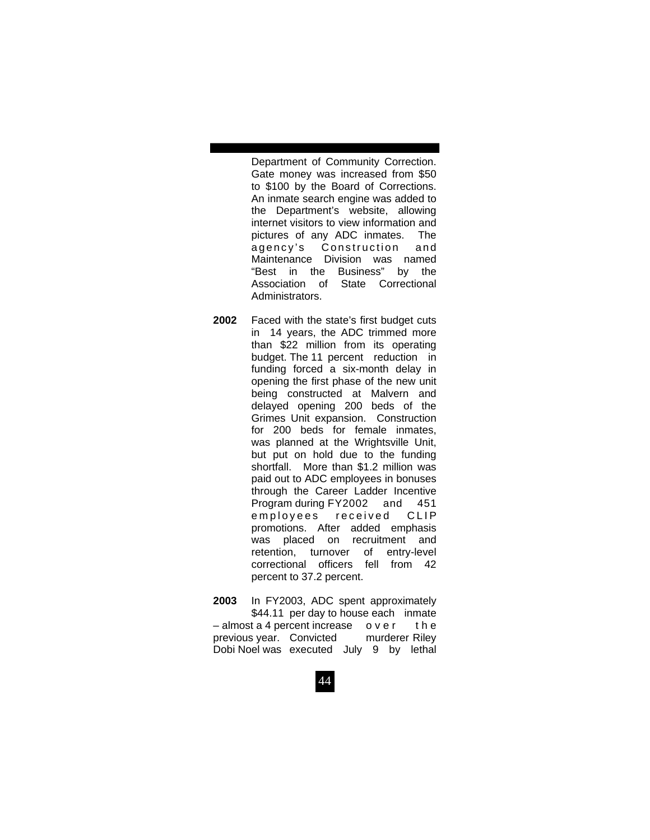Department of Community Correction. Gate money was increased from \$50 to \$100 by the Board of Corrections. An inmate search engine was added to the Department's website, allowing internet visitors to view information and pictures of any ADC inmates. The agency's Construction and Maintenance Division was named "Best in the Business" by the Association of State Correctional Administrators.

- **2002** Faced with the state's first budget cuts in 14 years, the ADC trimmed more than \$22 million from its operating budget. The 11 percent reduction in funding forced a six-month delay in opening the first phase of the new unit being constructed at Malvern and delayed opening 200 beds of the Grimes Unit expansion. Construction for 200 beds for female inmates, was planned at the Wrightsville Unit, but put on hold due to the funding shortfall.More than \$1.2 million was paid out to ADC employees in bonuses through the Career Ladder Incentive Program during FY2002 and 451 e m p lovees received CLIP promotions. After added emphasis was placed on recruitment and retention, turnover of entry-level correctional officers fell from 42 percent to 37.2 percent.
- **2003** In FY2003, ADC spent approximately \$44.11 per day to house each inmate  $-$  almost a 4 percent increase over the previous year. Convicted murderer Riley Dobi Noel was executed July 9 by lethal

44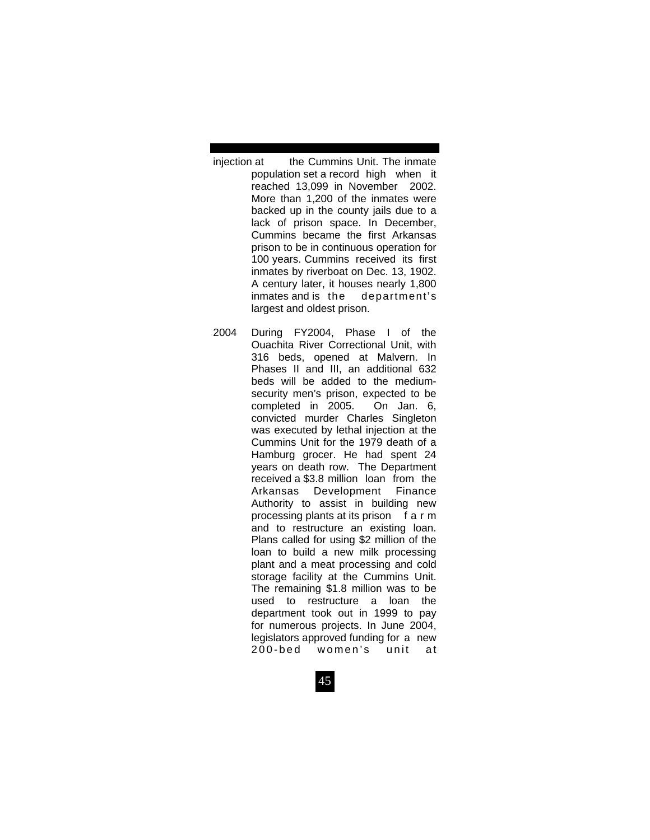- injection at the Cummins Unit. The inmate population set a record high when it reached 13,099 in November 2002. More than 1,200 of the inmates were backed up in the county jails due to a lack of prison space. In December, Cummins became the first Arkansas prison to be in continuous operation for 100 years. Cummins received its first inmates by riverboat on Dec. 13, 1902. A century later, it houses nearly 1,800 inmates and is the department's largest and oldest prison.
- 2004 During FY2004, Phase I of the Ouachita River Correctional Unit, with 316 beds, opened at Malvern. In Phases II and III, an additional 632 beds will be added to the medium security men's prison, expected to be completed in 2005. On Jan. 6, convicted murder Charles Singleton was executed by lethal injection at the Cummins Unit for the 1979 death of a Hamburg grocer. He had spent 24 years on death row. The Department received a \$3.8 million loan from the Arkansas Development Finance Authority to assist in building new processing plants at its prison f a r m and to restructure an existing loan. Plans called for using \$2 million of the loan to build a new milk processing plant and a meat processing and cold storage facility at the Cummins Unit. The remaining \$1.8 million was to be used to restructure a loan the department took out in 1999 to pay for numerous projects. In June 2004, legislators approved funding for a new 200-bed women's unit at
	- 45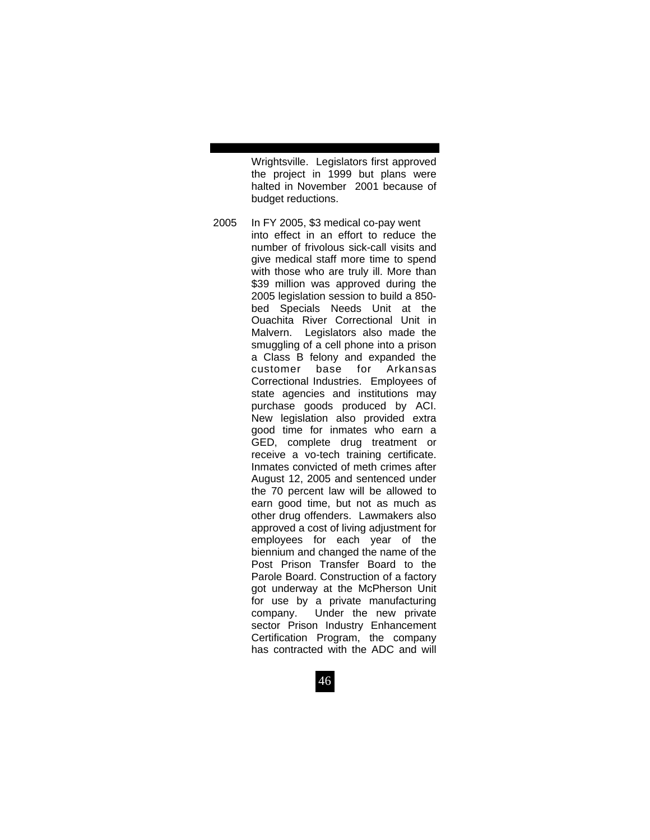Wrightsville. Legislators first approved the project in 1999 but plans were halted in November 2001 because of budget reductions.

2005 In FY 2005, \$3 medical co-pay went into effect in an effort to reduce the number of frivolous sick-call visits and give medical staff more time to spend with those who are truly ill. More than \$39 million was approved during the 2005 legislation session to build a 850 bed Specials Needs Unit at the Ouachita River Correctional Unit in Malvern. Legislators also made the smuggling of a cell phone into a prison a Class B felony and expanded the customer base for Arkansas Correctional Industries. Employees of state agencies and institutions may purchase goods produced by ACI. New legislation also provided extra good time for inmates who earn a GED, complete drug treatment or receive a vo-tech training certificate. Inmates convicted of meth crimes after August 12, 2005 and sentenced under the 70 percent law will be allowed to earn good time, but not as much as other drug offenders. Lawmakers also approved a cost of living adjustment for employees for each year of the biennium and changed the name of the Post Prison Transfer Board to the Parole Board. Construction of a factory got underway at the McPherson Unit for use by a private manufacturing company. Under the new private sector Prison Industry Enhancement Certification Program, the company has contracted with the ADC and will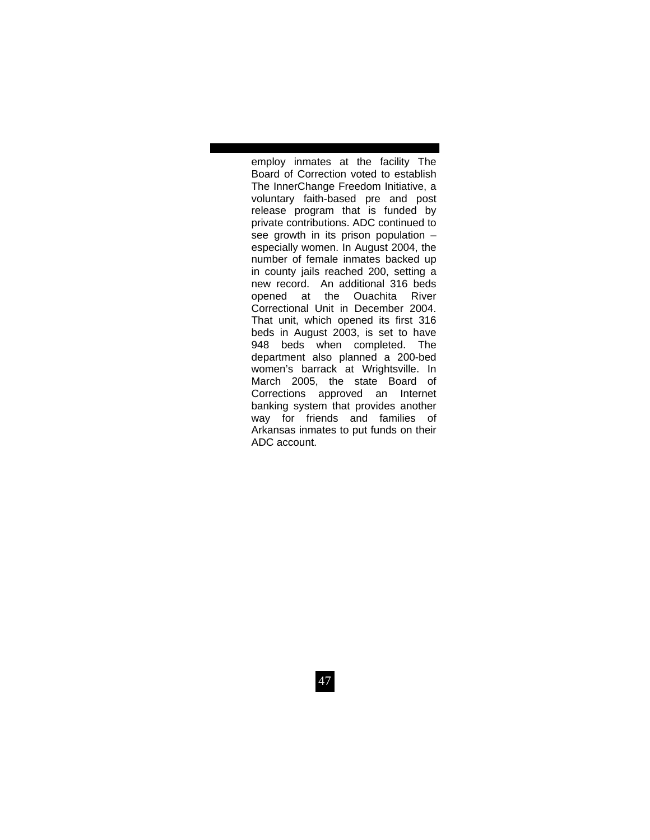employ inmates at the facility The Board of Correction voted to establish The InnerChange Freedom Initiative, a voluntary faith-based pre and post release program that is funded by private contributions. ADC continued to see growth in its prison population – especially women. In August 2004, the number of female inmates backed up in county jails reached 200, setting a new record. An additional 316 beds opened at the Ouachita River Correctional Unit in December 2004. That unit, which opened its first 316 beds in August 2003, is set to have 948 beds when completed. The department also planned a 200-bed women's barrack at Wrightsville. In March 2005, the state Board of Corrections approved an Internet banking system that provides another way for friends and families of Arkansas inmates to put funds on their ADC account.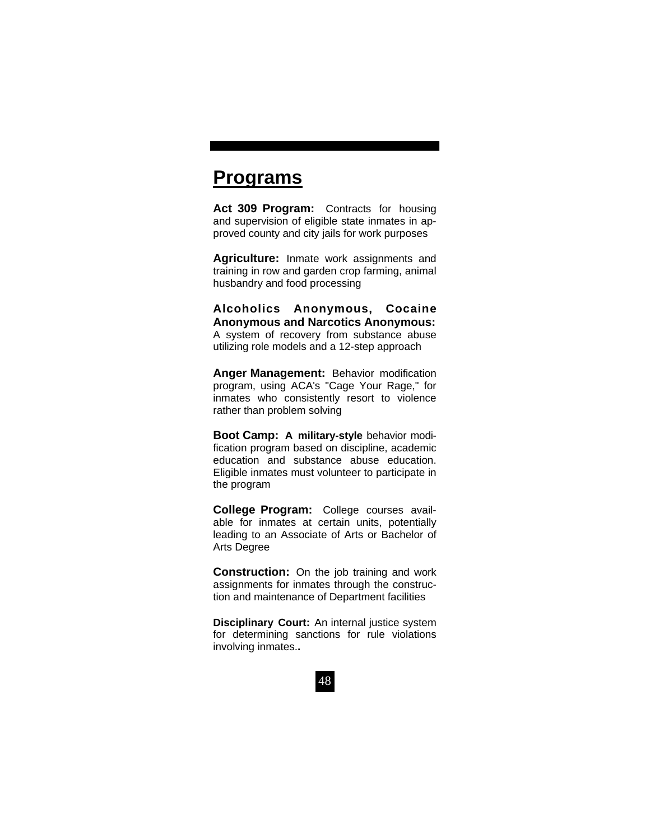# **Programs**

Act 309 Program: Contracts for housing and supervision of eligible state inmates in approved county and city jails for work purposes

**Agriculture:** Inmate work assignments and training in row and garden crop farming, animal husbandry and food processing

**Alcoholics Anonymous, Cocaine Anonymous and Narcotics Anonymous:**  A system of recovery from substance abuse utilizing role models and a 12-step approach

**Anger Management:** Behavior modification program, using ACA's "Cage Your Rage," for inmates who consistently resort to violence rather than problem solving

**Boot Camp: A military-style** behavior modification program based on discipline, academic education and substance abuse education. Eligible inmates must volunteer to participate in the program

**College Program:** College courses available for inmates at certain units, potentially leading to an Associate of Arts or Bachelor of Arts Degree

**Construction:** On the job training and work assignments for inmates through the construction and maintenance of Department facilities

**Disciplinary Court:** An internal justice system for determining sanctions for rule violations involving inmates.**.**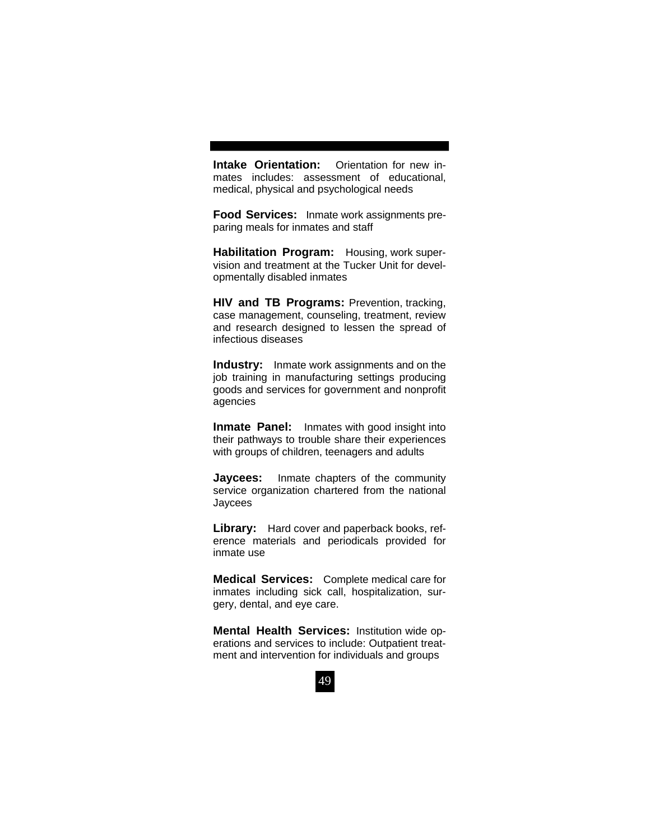**Intake Orientation:** Orientation for new inmates includes: assessment of educational, medical, physical and psychological needs

**Food Services:** Inmate work assignments preparing meals for inmates and staff

**Habilitation Program:** Housing, work supervision and treatment at the Tucker Unit for developmentally disabled inmates

**HIV and TB Programs:** Prevention, tracking, case management, counseling, treatment, review and research designed to lessen the spread of infectious diseases

**Industry:** Inmate work assignments and on the job training in manufacturing settings producing goods and services for government and nonprofit agencies

**Inmate Panel:** Inmates with good insight into their pathways to trouble share their experiences with groups of children, teenagers and adults

**Jaycees:** Inmate chapters of the community service organization chartered from the national Jaycees

**Library:** Hard cover and paperback books, reference materials and periodicals provided for inmate use

**Medical Services:** Complete medical care for inmates including sick call, hospitalization, surgery, dental, and eye care.

**Mental Health Services:** Institution wide operations and services to include: Outpatient treatment and intervention for individuals and groups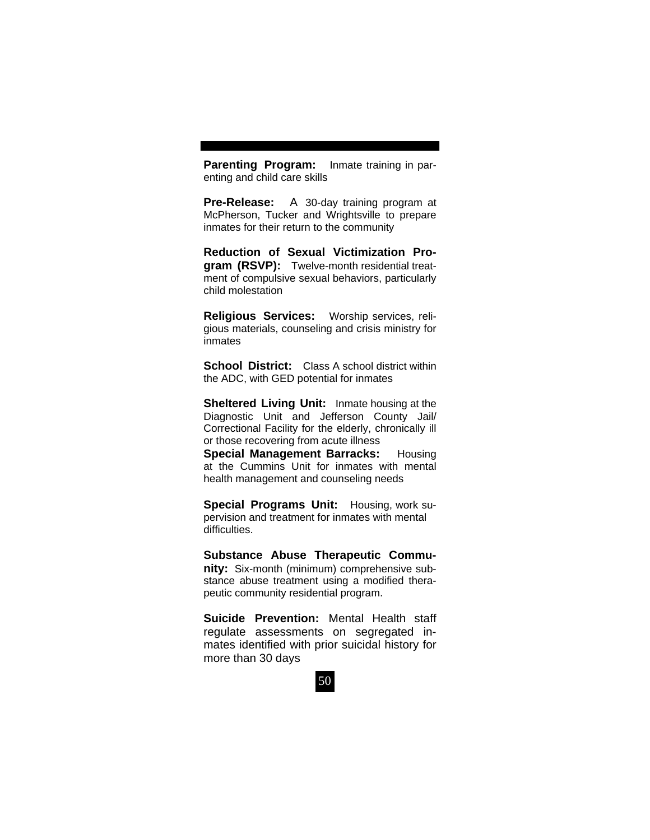**Parenting Program:** Inmate training in parenting and child care skills

**Pre-Release:** A 30-day training program at McPherson, Tucker and Wrightsville to prepare inmates for their return to the community

**Reduction of Sexual Victimization Program (RSVP):** Twelve-month residential treatment of compulsive sexual behaviors, particularly child molestation

**Religious Services:** Worship services, religious materials, counseling and crisis ministry for inmates

**School District:** Class A school district within the ADC, with GED potential for inmates

**Sheltered Living Unit:** Inmate housing at the Diagnostic Unit and Jefferson County Jail/ Correctional Facility for the elderly, chronically ill or those recovering from acute illness

**Special Management Barracks:** Housing at the Cummins Unit for inmates with mental health management and counseling needs

**Special Programs Unit:** Housing, work supervision and treatment for inmates with mental difficulties.

**Substance Abuse Therapeutic Community:** Six-month (minimum) comprehensive substance abuse treatment using a modified therapeutic community residential program.

**Suicide Prevention:** Mental Health staff regulate assessments on segregated inmates identified with prior suicidal history for more than 30 days